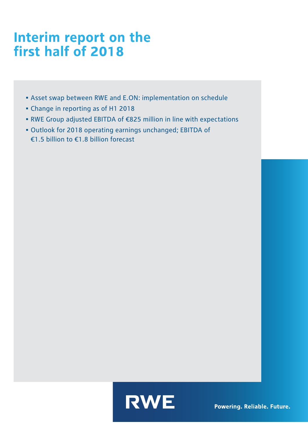# **Interim report on the first half of 2018**

- Asset swap between RWE and E.ON: implementation on schedule
- Change in reporting as of H1 2018
- RWE Group adjusted EBITDA of €825 million in line with expectations
- Outlook for 2018 operating earnings unchanged; EBITDA of €1.5 billion to €1.8 billion forecast

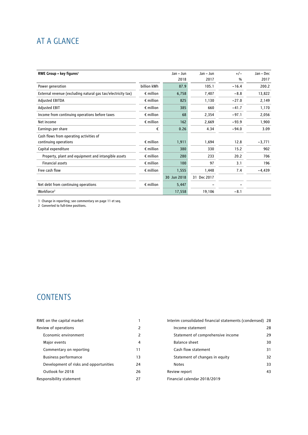# AT A GLANCE

| RWE Group - key figures <sup>1</sup>                         |                    | Jan - Jun   | Jan – Jun   | $+/-$   | Jan - Dec |
|--------------------------------------------------------------|--------------------|-------------|-------------|---------|-----------|
|                                                              |                    | 2018        | 2017        | %       | 2017      |
| Power generation                                             | billion kWh        | 87.9        | 105.1       | $-16.4$ | 200.2     |
| External revenue (excluding natural gas tax/electricity tax) | $\epsilon$ million | 6,758       | 7,407       | $-8.8$  | 13,822    |
| <b>Adjusted EBITDA</b>                                       | $\epsilon$ million | 825         | 1,130       | $-27.0$ | 2,149     |
| <b>Adjusted EBIT</b>                                         | $\epsilon$ million | 385         | 660         | $-41.7$ | 1,170     |
| Income from continuing operations before taxes               | $\epsilon$ million | 68          | 2,354       | $-97.1$ | 2,056     |
| Net income                                                   | $\epsilon$ million | 162         | 2,669       | $-93.9$ | 1,900     |
| Earnings per share                                           | €                  | 0.26        | 4.34        | $-94.0$ | 3.09      |
| Cash flows from operating activities of                      |                    |             |             |         |           |
| continuing operations                                        | $\epsilon$ million | 1,911       | 1,694       | 12.8    | $-3,771$  |
| Capital expenditure                                          | $\epsilon$ million | 380         | 330         | 15.2    | 902       |
| Property, plant and equipment and intangible assets          | $\epsilon$ million | 280         | 233         | 20.2    | 706       |
| <b>Financial assets</b>                                      | $\epsilon$ million | 100         | 97          | 3.1     | 196       |
| Free cash flow                                               | $\epsilon$ million | 1,555       | 1,448       | 7.4     | $-4,439$  |
|                                                              |                    | 30 Jun 2018 | 31 Dec 2017 |         |           |
| Net debt from continuing operations                          | $\epsilon$ million | 5,447       |             |         |           |
| Workforce <sup>2</sup>                                       |                    | 17,558      | 19,106      | $-8.1$  |           |

1 Change in reporting; see commentary on page 11 et seq.

2 Converted to full-time positions.

# **CONTENTS**

| RWE on the capital market              |    | Interim consolidated financial statements (condensed) 28 |    |
|----------------------------------------|----|----------------------------------------------------------|----|
| Review of operations                   | 2  | Income statement                                         | 28 |
| Economic environment                   | 2  | Statement of comprehensive income                        | 29 |
| Major events                           | 4  | Balance sheet                                            | 30 |
| Commentary on reporting                | 11 | Cash flow statement                                      | 31 |
| <b>Business performance</b>            | 13 | Statement of changes in equity                           | 32 |
| Development of risks and opportunities | 24 | <b>Notes</b>                                             | 33 |
| Outlook for 2018                       | 26 | Review report                                            | 43 |
| Responsibility statement               | 27 | Financial calendar 2018/2019                             |    |
|                                        |    |                                                          |    |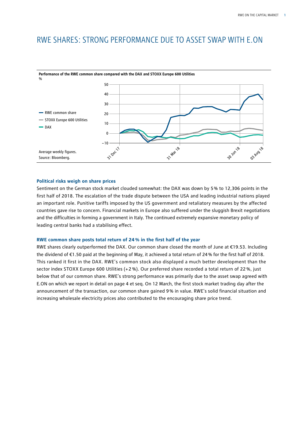# RWE SHARES: STRONG PERFORMANCE DUE TO ASSET SWAP WITH E.ON



**Performance of the RWE common share compared with the DAX and STOXX Europe 600 Utilities**

# **Political risks weigh on share prices**

Sentiment on the German stock market clouded somewhat: the DAX was down by 5% to 12,306 points in the first half of 2018. The escalation of the trade dispute between the USA and leading industrial nations played an important role. Punitive tariffs imposed by the US government and retaliatory measures by the affected countries gave rise to concern. Financial markets in Europe also suffered under the sluggish Brexit negotiations and the difficulties in forming a government in Italy. The continued extremely expansive monetary policy of leading central banks had a stabilising effect.

# **RWE common share posts total return of 24% in the first half of the year**

RWE shares clearly outperformed the DAX. Our common share closed the month of June at €19.53. Including the dividend of €1.50 paid at the beginning of May, it achieved a total return of 24% for the first half of 2018. This ranked it first in the DAX. RWE's common stock also displayed a much better development than the sector index STOXX Europe 600 Utilities (+ 2 %). Our preferred share recorded a total return of 22 %, just below that of our common share. RWE's strong performance was primarily due to the asset swap agreed with E.ON on which we report in detail on page 4 et seq. On 12 March, the first stock market trading day after the announcement of the transaction, our common share gained 9% in value. RWE's solid financial situation and increasing wholesale electricity prices also contributed to the encouraging share price trend.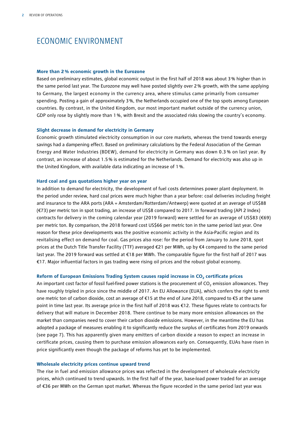# ECONOMIC ENVIRONMENT

#### **More than 2% economic growth in the Eurozone**

Based on preliminary estimates, global economic output in the first half of 2018 was about 3% higher than in the same period last year. The Eurozone may well have posted slightly over 2% growth, with the same applying to Germany, the largest economy in the currency area, where stimulus came primarily from consumer spending. Posting a gain of approximately 3%, the Netherlands occupied one of the top spots among European countries. By contrast, in the United Kingdom, our most important market outside of the currency union, GDP only rose by slightly more than 1%, with Brexit and the associated risks slowing the country's economy.

### **Slight decrease in demand for electricity in Germany**

Economic growth stimulated electricity consumption in our core markets, whereas the trend towards energy savings had a dampening effect. Based on preliminary calculations by the Federal Association of the German Energy and Water Industries (BDEW), demand for electricity in Germany was down 0.3 % on last year. By contrast, an increase of about 1.5% is estimated for the Netherlands. Demand for electricity was also up in the United Kingdom, with available data indicating an increase of 1%.

# **Hard coal and gas quotations higher year on year**

In addition to demand for electricity, the development of fuel costs determines power plant deployment. In the period under review, hard coal prices were much higher than a year before: coal deliveries including freight and insurance to the ARA ports (ARA = Amsterdam/Rotterdam/Antwerp) were quoted at an average of US\$88 (€73) per metric ton in spot trading, an increase of US\$8 compared to 2017. In forward trading (API 2 Index) contracts for delivery in the coming calendar year (2019 forward) were settled for an average of US\$83 (€69) per metric ton. By comparison, the 2018 forward cost US\$66 per metric ton in the same period last year. One reason for these price developments was the positive economic activity in the Asia-Pacific region and its revitalising effect on demand for coal. Gas prices also rose: for the period from January to June 2018, spot prices at the Dutch Title Transfer Facility (TTF) averaged €21 per MWh, up by €4 compared to the same period last year. The 2019 forward was settled at €18 per MWh. The comparable figure for the first half of 2017 was €17. Major influential factors in gas trading were rising oil prices and the robust global economy.

## Reform of European Emissions Trading System causes rapid increase in CO<sub>2</sub> certificate prices

An important cost factor of fossil fuel-fired power stations is the procurement of  $CO<sub>2</sub>$  emission allowances. They have roughly tripled in price since the middle of 2017. An EU Allowance (EUA), which confers the right to emit one metric ton of carbon dioxide, cost an average of €15 at the end of June 2018, compared to €5 at the same point in time last year. Its average price in the first half of 2018 was €12. These figures relate to contracts for delivery that will mature in December 2018. There continue to be many more emission allowances on the market than companies need to cover their carbon dioxide emissions. However, in the meantime the EU has adopted a package of measures enabling it to significantly reduce the surplus of certificates from 2019 onwards (see page 7). This has apparently given many emitters of carbon dioxide a reason to expect an increase in certificate prices, causing them to purchase emission allowances early on. Consequently, EUAs have risen in price significantly even though the package of reforms has yet to be implemented.

# **Wholesale electricity prices continue upward trend**

The rise in fuel and emission allowance prices was reflected in the development of wholesale electricity prices, which continued to trend upwards. In the first half of the year, base-load power traded for an average of €36 per MWh on the German spot market. Whereas the figure recorded in the same period last year was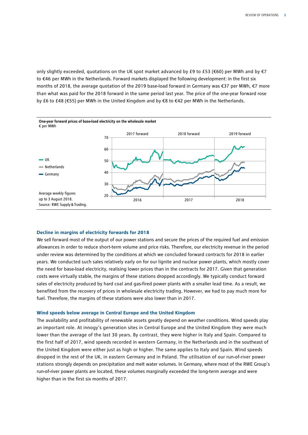only slightly exceeded, quotations on the UK spot market advanced by £9 to £53 (€60) per MWh and by  $\epsilon$ 7 to €46 per MWh in the Netherlands. Forward markets displayed the following development: in the first six months of 2018, the average quotation of the 2019 base-load forward in Germany was €37 per MWh, €7 more than what was paid for the 2018 forward in the same period last year. The price of the one-year forward rose by £6 to £48 (€55) per MWh in the United Kingdom and by €8 to €42 per MWh in the Netherlands.

![](_page_4_Figure_2.jpeg)

## **Decline in margins of electricity forwards for 2018**

We sell forward most of the output of our power stations and secure the prices of the required fuel and emission allowances in order to reduce short-term volume and price risks. Therefore, our electricity revenue in the period under review was determined by the conditions at which we concluded forward contracts for 2018 in earlier years. We conducted such sales relatively early on for our lignite and nuclear power plants, which mostly cover the need for base-load electricity, realising lower prices than in the contracts for 2017. Given that generation costs were virtually stable, the margins of these stations dropped accordingly. We typically conduct forward sales of electricity produced by hard coal and gas-fired power plants with a smaller lead time. As a result, we benefited from the recovery of prices in wholesale electricity trading. However, we had to pay much more for fuel. Therefore, the margins of these stations were also lower than in 2017.

#### **Wind speeds below average in Central Europe and the United Kingdom**

The availability and profitability of renewable assets greatly depend on weather conditions. Wind speeds play an important role. At innogy's generation sites in Central Europe and the United Kingdom they were much lower than the average of the last 30 years. By contrast, they were higher in Italy and Spain. Compared to the first half of 2017, wind speeds recorded in western Germany, in the Netherlands and in the southeast of the United Kingdom were either just as high or higher. The same applies to Italy and Spain. Wind speeds dropped in the rest of the UK, in eastern Germany and in Poland. The utilisation of our run-of-river power stations strongly depends on precipitation and melt water volumes. In Germany, where most of the RWE Group's run-of-river power plants are located, these volumes marginally exceeded the long-term average and were higher than in the first six months of 2017.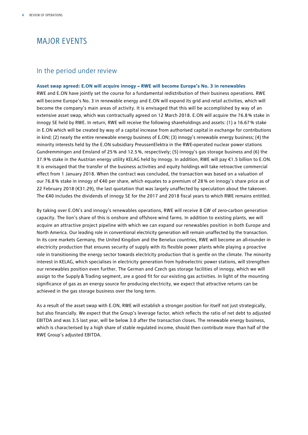# MAJOR EVENTS

# In the period under review

**Asset swap agreed: E.ON will acquire innogy – RWE will become Europe's No. 3 in renewables** RWE and E.ON have jointly set the course for a fundamental redistribution of their business operations. RWE will become Europe's No. 3 in renewable energy and E.ON will expand its grid and retail activities, which will become the company's main areas of activity. It is envisaged that this will be accomplished by way of an extensive asset swap, which was contractually agreed on 12 March 2018. E.ON will acquire the 76.8% stake in innogy SE held by RWE. In return, RWE will receive the following shareholdings and assets: (1) a 16.67% stake in E.ON which will be created by way of a capital increase from authorised capital in exchange for contributions in kind; (2) nearly the entire renewable energy business of E.ON; (3) innogy's renewable energy business; (4) the minority interests held by the E.ON subsidiary PreussenElektra in the RWE-operated nuclear power stations Gundremmingen and Emsland of 25% and 12.5%, respectively; (5) innogy's gas storage business and (6) the 37.9% stake in the Austrian energy utility KELAG held by innogy. In addition, RWE will pay €1.5 billion to E.ON. It is envisaged that the transfer of the business activities and equity holdings will take retroactive commercial effect from 1 January 2018. When the contract was concluded, the transaction was based on a valuation of our 76.8% stake in innogy of €40 per share, which equates to a premium of 28% on innogy's share price as of 22 February 2018 (€31.29), the last quotation that was largely unaffected by speculation about the takeover. The €40 includes the dividends of innogy SE for the 2017 and 2018 fiscal years to which RWE remains entitled.

By taking over E.ON's and innogy's renewables operations, RWE will receive 8 GW of zero-carbon generation capacity. The lion's share of this is onshore and offshore wind farms. In addition to existing plants, we will acquire an attractive project pipeline with which we can expand our renewables position in both Europe and North America. Our leading role in conventional electricity generation will remain unaffected by the transaction. In its core markets Germany, the United Kingdom and the Benelux countries, RWE will become an all-rounder in electricity production that ensures security of supply with its flexible power plants while playing a proactive role in transitioning the energy sector towards electricity production that is gentle on the climate. The minority interest in KELAG, which specialises in electricity generation from hydroelectric power stations, will strengthen our renewables position even further. The German and Czech gas storage facilities of innogy, which we will assign to the Supply&Trading segment, are a good fit for our existing gas activities. In light of the mounting significance of gas as an energy source for producing electricity, we expect that attractive returns can be achieved in the gas storage business over the long term.

As a result of the asset swap with E.ON, RWE will establish a stronger position for itself not just strategically, but also financially. We expect that the Group's leverage factor, which reflects the ratio of net debt to adjusted EBITDA and was 3.5 last year, will be below 3.0 after the transaction closes. The renewable energy business, which is characterised by a high share of stable regulated income, should then contribute more than half of the RWE Group's adjusted EBITDA.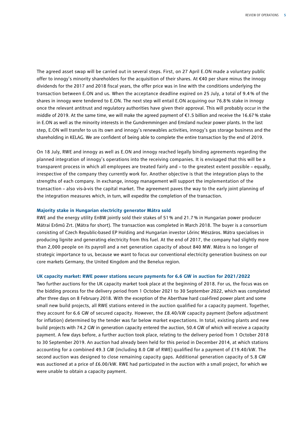The agreed asset swap will be carried out in several steps. First, on 27 April E.ON made a voluntary public offer to innogy's minority shareholders for the acquisition of their shares. At €40 per share minus the innogy dividends for the 2017 and 2018 fiscal years, the offer price was in line with the conditions underlying the transaction between E.ON and us. When the acceptance deadline expired on 25 July, a total of 9.4 % of the shares in innogy were tendered to E.ON. The next step will entail E.ON acquiring our 76.8% stake in innogy once the relevant antitrust and regulatory authorities have given their approval. This will probably occur in the middle of 2019. At the same time, we will make the agreed payment of €1.5 billion and receive the 16.67% stake in E.ON as well as the minority interests in the Gundremmingen and Emsland nuclear power plants. In the last step, E.ON will transfer to us its own and innogy's renewables activities, innogy's gas storage business and the shareholding in KELAG. We are confident of being able to complete the entire transaction by the end of 2019.

On 18 July, RWE and innogy as well as E.ON and innogy reached legally binding agreements regarding the planned integration of innogy's operations into the receiving companies. It is envisaged that this will be a transparent process in which all employees are treated fairly and – to the greatest extent possible – equally, irrespective of the company they currently work for. Another objective is that the integration plays to the strengths of each company. In exchange, innogy management will support the implementation of the transaction – also vis-à-vis the capital market. The agreement paves the way to the early joint planning of the integration measures which, in turn, will expedite the completion of the transaction.

### **Majority stake in Hungarian electricity generator Mátra sold**

RWE and the energy utility EnBW jointly sold their stakes of 51% and 21.7% in Hungarian power producer Mátrai Erőmű Zrt. (Mátra for short). The transaction was completed in March 2018. The buyer is a consortium consisting of Czech Republic-based EP Holding and Hungarian investor Lőrinc Mészáros. Mátra specialises in producing lignite and generating electricity from this fuel. At the end of 2017, the company had slightly more than 2,000 people on its payroll and a net generation capacity of about 840 MW. Mátra is no longer of strategic importance to us, because we want to focus our conventional electricity generation business on our core markets Germany, the United Kingdom and the Benelux region.

## **UK capacity market: RWE power stations secure payments for 6.6 GW in auction for 2021/2022**

Two further auctions for the UK capacity market took place at the beginning of 2018. For us, the focus was on the bidding process for the delivery period from 1 October 2021 to 30 September 2022, which was completed after three days on 8 February 2018. With the exception of the Aberthaw hard coal-fired power plant and some small new build projects, all RWE stations entered in the auction qualified for a capacity payment. Together, they account for 6.6 GW of secured capacity. However, the £8.40/kW capacity payment (before adjustment for inflation) determined by the tender was far below market expectations. In total, existing plants and new build projects with 74.2 GW in generation capacity entered the auction, 50.4 GW of which will receive a capacity payment. A few days before, a further auction took place, relating to the delivery period from 1 October 2018 to 30 September 2019. An auction had already been held for this period in December 2014, at which stations accounting for a combined 49.3 GW (including 8.0 GW of RWE) qualified for a payment of £19.40/kW. The second auction was designed to close remaining capacity gaps. Additional generation capacity of 5.8 GW was auctioned at a price of £6.00/kW. RWE had participated in the auction with a small project, for which we were unable to obtain a capacity payment.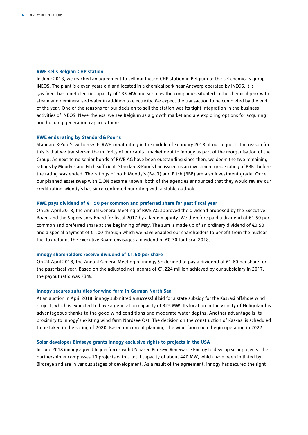#### **RWE sells Belgian CHP station**

In June 2018, we reached an agreement to sell our Inesco CHP station in Belgium to the UK chemicals group INEOS. The plant is eleven years old and located in a chemical park near Antwerp operated by INEOS. It is gas-fired, has a net electric capacity of 133 MW and supplies the companies situated in the chemical park with steam and demineralised water in addition to electricity. We expect the transaction to be completed by the end of the year. One of the reasons for our decision to sell the station was its tight integration in the business activities of INEOS. Nevertheless, we see Belgium as a growth market and are exploring options for acquiring and building generation capacity there.

#### **RWE ends rating by Standard&Poor's**

Standard&Poor's withdrew its RWE credit rating in the middle of February 2018 at our request. The reason for this is that we transferred the majority of our capital market debt to innogy as part of the reorganisation of the Group. As next to no senior bonds of RWE AG have been outstanding since then, we deem the two remaining ratings by Moody's and Fitch sufficient. Standard & Poor's had issued us an investment-grade rating of BBB- before the rating was ended. The ratings of both Moody's (Baa3) and Fitch (BBB) are also investment grade. Once our planned asset swap with E.ON became known, both of the agencies announced that they would review our credit rating. Moody's has since confirmed our rating with a stable outlook.

### **RWE pays dividend of €1.50 per common and preferred share for past fiscal year**

On 26 April 2018, the Annual General Meeting of RWE AG approved the dividend proposed by the Executive Board and the Supervisory Board for fiscal 2017 by a large majority. We therefore paid a dividend of €1.50 per common and preferred share at the beginning of May. The sum is made up of an ordinary dividend of €0.50 and a special payment of €1.00 through which we have enabled our shareholders to benefit from the nuclear fuel tax refund. The Executive Board envisages a dividend of €0.70 for fiscal 2018.

#### **innogy shareholders receive dividend of €1.60 per share**

On 24 April 2018, the Annual General Meeting of innogy SE decided to pay a dividend of €1.60 per share for the past fiscal year. Based on the adjusted net income of €1,224 million achieved by our subsidiary in 2017, the payout ratio was 73%.

#### **innogy secures subsidies for wind farm in German North Sea**

At an auction in April 2018, innogy submitted a successful bid for a state subsidy for the Kaskasi offshore wind project, which is expected to have a generation capacity of 325 MW. Its location in the vicinity of Heligoland is advantageous thanks to the good wind conditions and moderate water depths. Another advantage is its proximity to innogy's existing wind farm Nordsee Ost. The decision on the construction of Kaskasi is scheduled to be taken in the spring of 2020. Based on current planning, the wind farm could begin operating in 2022.

#### **Solar developer Birdseye grants innogy exclusive rights to projects in the USA**

In June 2018 innogy agreed to join forces with US-based Birdseye Renewable Energy to develop solar projects. The partnership encompasses 13 projects with a total capacity of about 440 MW, which have been initiated by Birdseye and are in various stages of development. As a result of the agreement, innogy has secured the right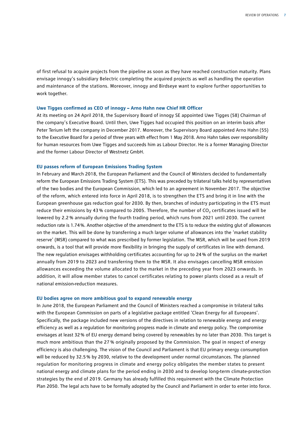of first refusal to acquire projects from the pipeline as soon as they have reached construction maturity. Plans envisage innogy's subsidiary Belectric completing the acquired projects as well as handling the operation and maintenance of the stations. Moreover, innogy and Birdseye want to explore further opportunities to work together.

#### **Uwe Tigges confirmed as CEO of innogy – Arno Hahn new Chief HR Officer**

At its meeting on 24 April 2018, the Supervisory Board of innogy SE appointed Uwe Tigges (58) Chairman of the company's Executive Board. Until then, Uwe Tigges had occupied this position on an interim basis after Peter Terium left the company in December 2017. Moreover, the Supervisory Board appointed Arno Hahn (55) to the Executive Board for a period of three years with effect from 1 May 2018. Arno Hahn takes over responsibility for human resources from Uwe Tigges and succeeds him as Labour Director. He is a former Managing Director and the former Labour Director of Westnetz GmbH.

## **EU passes reform of European Emissions Trading System**

In February and March 2018, the European Parliament and the Council of Ministers decided to fundamentally reform the European Emissions Trading System (ETS). This was preceded by trilateral talks held by representatives of the two bodies and the European Commission, which led to an agreement in November 2017. The objective of the reform, which entered into force in April 2018, is to strengthen the ETS and bring it in line with the European greenhouse gas reduction goal for 2030. By then, branches of industry participating in the ETS must reduce their emissions by 43 % compared to 2005. Therefore, the number of  $CO<sub>2</sub>$  certificates issued will be lowered by 2.2 % annually during the fourth trading period, which runs from 2021 until 2030. The current reduction rate is 1.74%. Another objective of the amendment to the ETS is to reduce the existing glut of allowances on the market. This will be done by transferring a much larger volume of allowances into the 'market stability reserve' (MSR) compared to what was prescribed by former legislation. The MSR, which will be used from 2019 onwards, is a tool that will provide more flexibility in bringing the supply of certificates in line with demand. The new regulation envisages withholding certificates accounting for up to 24% of the surplus on the market annually from 2019 to 2023 and transferring them to the MSR. It also envisages cancelling MSR emission allowances exceeding the volume allocated to the market in the preceding year from 2023 onwards. In addition, it will allow member states to cancel certificates relating to power plants closed as a result of national emission-reduction measures.

#### **EU bodies agree on more ambitious goal to expand renewable energy**

In June 2018, the European Parliament and the Council of Ministers reached a compromise in trilateral talks with the European Commission on parts of a legislative package entitled 'Clean Energy for all Europeans'. Specifically, the package included new versions of the directives in relation to renewable energy and energy efficiency as well as a regulation for monitoring progress made in climate and energy policy. The compromise envisages at least 32% of EU energy demand being covered by renewables by no later than 2030. This target is much more ambitious than the 27 % originally proposed by the Commission. The goal in respect of energy efficiency is also challenging. The vision of the Council and Parliament is that EU primary energy consumption will be reduced by 32.5% by 2030, relative to the development under normal circumstances. The planned regulation for monitoring progress in climate and energy policy obligates the member states to present national energy and climate plans for the period ending in 2030 and to develop long-term climate-protection strategies by the end of 2019. Germany has already fulfilled this requirement with the Climate Protection Plan 2050. The legal acts have to be formally adopted by the Council and Parliament in order to enter into force.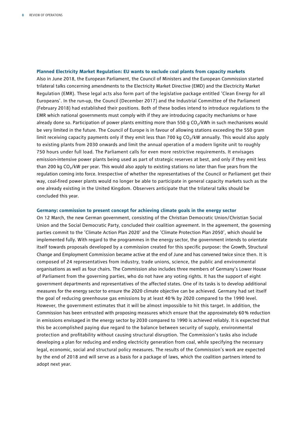### **Planned Electricity Market Regulation: EU wants to exclude coal plants from capacity markets**

Also in June 2018, the European Parliament, the Council of Ministers and the European Commission started trilateral talks concerning amendments to the Electricity Market Directive (EMD) and the Electricity Market Regulation (EMR). These legal acts also form part of the legislative package entitled 'Clean Energy for all Europeans'. In the run-up, the Council (December 2017) and the Industrial Committee of the Parliament (February 2018) had established their positions. Both of these bodies intend to introduce regulations to the EMR which national governments must comply with if they are introducing capacity mechanisms or have already done so. Participation of power plants emitting more than 550 g  $CO<sub>2</sub>/kWh$  in such mechanisms would be very limited in the future. The Council of Europe is in favour of allowing stations exceeding the 550 gram limit receiving capacity payments only if they emit less than 700 kg  $CO<sub>2</sub>/kW$  annually. This would also apply to existing plants from 2030 onwards and limit the annual operation of a modern lignite unit to roughly 750 hours under full load. The Parliament calls for even more restrictive requirements. It envisages emission-intensive power plants being used as part of strategic reserves at best, and only if they emit less than 200 kg  $CO<sub>2</sub>/kW$  per year. This would also apply to existing stations no later than five years from the regulation coming into force. Irrespective of whether the representatives of the Council or Parliament get their way, coal-fired power plants would no longer be able to participate in general capacity markets such as the one already existing in the United Kingdom. Observers anticipate that the trilateral talks should be concluded this year.

## **Germany: commission to present concept for achieving climate goals in the energy sector**

On 12 March, the new German government, consisting of the Christian Democratic Union/Christian Social Union and the Social Democratic Party, concluded their coalition agreement. In the agreement, the governing parties commit to the 'Climate Action Plan 2020' and the 'Climate Protection Plan 2050', which should be implemented fully. With regard to the programmes in the energy sector, the government intends to orientate itself towards proposals developed by a commission created for this specific purpose: the Growth, Structural Change and Employment Commission became active at the end of June and has convened twice since then. It is composed of 24 representatives from industry, trade unions, science, the public and environmental organisations as well as four chairs. The Commission also includes three members of Germany's Lower House of Parliament from the governing parties, who do not have any voting rights. It has the support of eight government departments and representatives of the affected states. One of its tasks is to develop additional measures for the energy sector to ensure the 2020 climate objective can be achieved. Germany had set itself the goal of reducing greenhouse gas emissions by at least 40 % by 2020 compared to the 1990 level. However, the government estimates that it will be almost impossible to hit this target. In addition, the Commission has been entrusted with proposing measures which ensure that the approximately 60% reduction in emissions envisaged in the energy sector by 2030 compared to 1990 is achieved reliably. It is expected that this be accomplished paying due regard to the balance between security of supply, environmental protection and profitability without causing structural disruption. The Commission's tasks also include developing a plan for reducing and ending electricity generation from coal, while specifying the necessary legal, economic, social and structural policy measures. The results of the Commission's work are expected by the end of 2018 and will serve as a basis for a package of laws, which the coalition partners intend to adopt next year.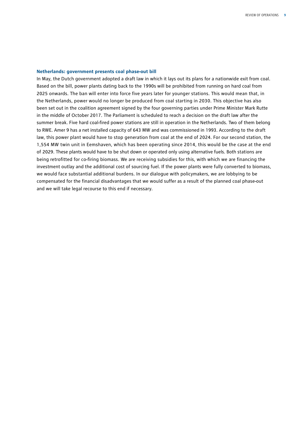### **Netherlands: government presents coal phase-out bill**

In May, the Dutch government adopted a draft law in which it lays out its plans for a nationwide exit from coal. Based on the bill, power plants dating back to the 1990s will be prohibited from running on hard coal from 2025 onwards. The ban will enter into force five years later for younger stations. This would mean that, in the Netherlands, power would no longer be produced from coal starting in 2030. This objective has also been set out in the coalition agreement signed by the four governing parties under Prime Minister Mark Rutte in the middle of October 2017. The Parliament is scheduled to reach a decision on the draft law after the summer break. Five hard coal-fired power stations are still in operation in the Netherlands. Two of them belong to RWE. Amer 9 has a net installed capacity of 643 MW and was commissioned in 1993. According to the draft law, this power plant would have to stop generation from coal at the end of 2024. For our second station, the 1,554 MW twin unit in Eemshaven, which has been operating since 2014, this would be the case at the end of 2029. These plants would have to be shut down or operated only using alternative fuels. Both stations are being retrofitted for co-firing biomass. We are receiving subsidies for this, with which we are financing the investment outlay and the additional cost of sourcing fuel. If the power plants were fully converted to biomass, we would face substantial additional burdens. In our dialogue with policymakers, we are lobbying to be compensated for the financial disadvantages that we would suffer as a result of the planned coal phase-out and we will take legal recourse to this end if necessary.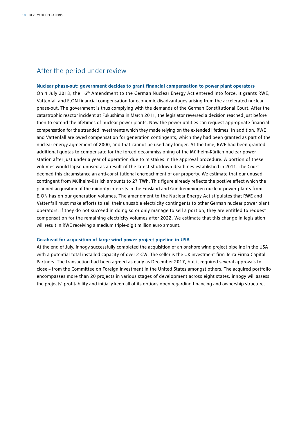# After the period under review

### **Nuclear phase-out: government decides to grant financial compensation to power plant operators**

On 4 July 2018, the 16<sup>th</sup> Amendment to the German Nuclear Energy Act entered into force. It grants RWE, Vattenfall and E.ON financial compensation for economic disadvantages arising from the accelerated nuclear phase-out. The government is thus complying with the demands of the German Constitutional Court. After the catastrophic reactor incident at Fukushima in March 2011, the legislator reversed a decision reached just before then to extend the lifetimes of nuclear power plants. Now the power utilities can request appropriate financial compensation for the stranded investments which they made relying on the extended lifetimes. In addition, RWE and Vattenfall are owed compensation for generation contingents, which they had been granted as part of the nuclear energy agreement of 2000, and that cannot be used any longer. At the time, RWE had been granted additional quotas to compensate for the forced decommissioning of the Mülheim-Kärlich nuclear power station after just under a year of operation due to mistakes in the approval procedure. A portion of these volumes would lapse unused as a result of the latest shutdown deadlines established in 2011. The Court deemed this circumstance an anti-constitutional encroachment of our property. We estimate that our unused contingent from Mülheim-Kärlich amounts to 27 TWh. This figure already reflects the postive effect which the planned acquisition of the minority interests in the Emsland and Gundremmingen nuclear power plants from E.ON has on our generation volumes. The amendment to the Nuclear Energy Act stipulates that RWE and Vattenfall must make efforts to sell their unusable electricity contingents to other German nuclear power plant operators. If they do not succeed in doing so or only manage to sell a portion, they are entitled to request compensation for the remaining electricity volumes after 2022. We estimate that this change in legislation will result in RWE receiving a medium triple-digit million euro amount.

# **Go-ahead for acquisition of large wind power project pipeline in USA**

At the end of July, innogy successfully completed the acquisition of an onshore wind project pipeline in the USA with a potential total installed capacity of over 2 GW. The seller is the UK investment firm Terra Firma Capital Partners. The transaction had been agreed as early as December 2017, but it required several approvals to close – from the Committee on Foreign Investment in the United States amongst others. The acquired portfolio encompasses more than 20 projects in various stages of development across eight states. innogy will assess the projects' profitability and initially keep all of its options open regarding financing and ownership structure.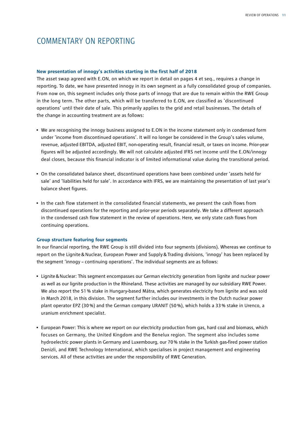# COMMENTARY ON REPORTING

# **New presentation of innogy's activities starting in the first half of 2018**

The asset swap agreed with E.ON, on which we report in detail on pages 4 et seq., requires a change in reporting. To date, we have presented innogy in its own segment as a fully consolidated group of companies. From now on, this segment includes only those parts of innogy that are due to remain within the RWE Group in the long term. The other parts, which will be transferred to E.ON, are classified as 'discontinued operations' until their date of sale. This primarily applies to the grid and retail businesses. The details of the change in accounting treatment are as follows:

- We are recognising the innogy business assigned to E.ON in the income statement only in condensed form under 'income from discontinued operations'. It will no longer be considered in the Group's sales volume, revenue, adjusted EBITDA, adjusted EBIT, non-operating result, financial result, or taxes on income. Prior-year figures will be adjusted accordingly. We will not calculate adjusted IFRS net income until the E.ON/innogy deal closes, because this financial indicator is of limited informational value during the transitional period.
- On the consolidated balance sheet, discontinued operations have been combined under 'assets held for sale' and 'liabilities held for sale'. In accordance with IFRS, we are maintaining the presentation of last year's balance sheet figures.
- In the cash flow statement in the consolidated financial statements, we present the cash flows from discontinued operations for the reporting and prior-year periods separately. We take a different approach in the condensed cash flow statement in the review of operations. Here, we only state cash flows from continuing operations.

# **Group structure featuring four segments**

In our financial reporting, the RWE Group is still divided into four segments (divisions). Whereas we continue to report on the Lignite&Nuclear, European Power and Supply&Trading divisions, 'innogy' has been replaced by the segment 'innogy – continuing operations'. The individual segments are as follows:

- Lignite&Nuclear: This segment encompasses our German electricity generation from lignite and nuclear power as well as our lignite production in the Rhineland. These activities are managed by our subsidiary RWE Power. We also report the 51% stake in Hungary-based Mátra, which generates electricity from lignite and was sold in March 2018, in this division. The segment further includes our investments in the Dutch nuclear power plant operator EPZ (30%) and the German company URANIT (50%), which holds a 33% stake in Urenco, a uranium enrichment specialist.
- European Power: This is where we report on our electricity production from gas, hard coal and biomass, which focuses on Germany, the United Kingdom and the Benelux region. The segment also includes some hydroelectric power plants in Germany and Luxembourg, our 70% stake in the Turkish gas-fired power station Denizli, and RWE Technology International, which specialises in project management and engineering services. All of these activities are under the responsibility of RWE Generation.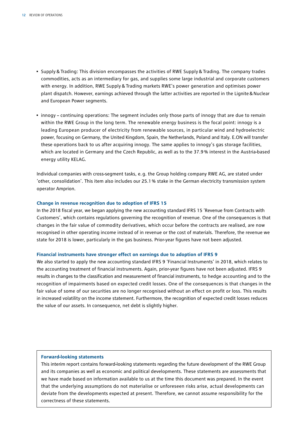- Supply & Trading: This division encompasses the activities of RWE Supply & Trading. The company trades commodities, acts as an intermediary for gas, and supplies some large industrial and corporate customers with energy. In addition, RWE Supply & Trading markets RWE's power generation and optimises power plant dispatch. However, earnings achieved through the latter activities are reported in the Lignite&Nuclear and European Power segments.
- innogy continuing operations: The segment includes only those parts of innogy that are due to remain within the RWE Group in the long term. The renewable energy business is the focal point: innogy is a leading European producer of electricity from renewable sources, in particular wind and hydroelectric power, focusing on Germany, the United Kingdom, Spain, the Netherlands, Poland and Italy. E.ON will transfer these operations back to us after acquiring innogy. The same applies to innogy's gas storage facilities, which are located in Germany and the Czech Republic, as well as to the 37.9% interest in the Austria-based energy utility KELAG.

Individual companies with cross-segment tasks, e.g. the Group holding company RWE AG, are stated under 'other, consolidation'. This item also includes our 25.1% stake in the German electricity transmission system operator Amprion.

### **Change in revenue recognition due to adoption of IFRS 15**

In the 2018 fiscal year, we began applying the new accounting standard IFRS 15 'Revenue from Contracts with Customers', which contains regulations governing the recognition of revenue. One of the consequences is that changes in the fair value of commodity derivatives, which occur before the contracts are realised, are now recognised in other operating income instead of in revenue or the cost of materials. Therefore, the revenue we state for 2018 is lower, particularly in the gas business. Prior-year figures have not been adjusted.

#### **Financial instruments have stronger effect on earnings due to adoption of IFRS 9**

We also started to apply the new accounting standard IFRS 9 'Financial Instruments' in 2018, which relates to the accounting treatment of financial instruments. Again, prior-year figures have not been adjusted. IFRS 9 results in changes to the classification and measurement of financial instruments, to hedge accounting and to the recognition of impairments based on expected credit losses. One of the consequences is that changes in the fair value of some of our securities are no longer recognised without an effect on profit or loss. This results in increased volatility on the income statement. Furthermore, the recognition of expected credit losses reduces the value of our assets. In consequence, net debt is slightly higher.

#### **Forward-looking statements**

This interim report contains forward-looking statements regarding the future development of the RWE Group and its companies as well as economic and political developments. These statements are assessments that we have made based on information available to us at the time this document was prepared. In the event that the underlying assumptions do not materialise or unforeseen risks arise, actual developments can deviate from the developments expected at present. Therefore, we cannot assume responsibility for the correctness of these statements.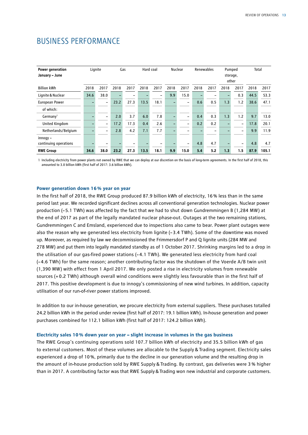| <b>BUSINESS PERFORMANCE</b> |  |
|-----------------------------|--|
|-----------------------------|--|

| Power generation<br>January - June  | Lignite |                          |      | Gas  | Hard coal |                          | Nuclear |                          | Renewables |      | Pumped<br>storage,<br>other |                          | Total |       |
|-------------------------------------|---------|--------------------------|------|------|-----------|--------------------------|---------|--------------------------|------------|------|-----------------------------|--------------------------|-------|-------|
| <b>Billion kWh</b>                  | 2018    | 2017                     | 2018 | 2017 | 2018      | 2017                     | 2018    | 2017                     | 2018       | 2017 | 2018                        | 2017                     | 2018  | 2017  |
| Lignite & Nuclear                   | 34.6    | 38.0                     |      |      |           | $\overline{\phantom{0}}$ | 9.9     | 15.0                     |            |      |                             | 0.3                      | 44.5  | 53.3  |
| <b>European Power</b>               |         | $\overline{\phantom{0}}$ | 23.2 | 27.3 | 13.5      | 18.1                     |         | $\overline{\phantom{0}}$ | 0.6        | 0.5  | 1.3                         | 1.2                      | 38.6  | 47.1  |
| of which:                           |         |                          |      |      |           |                          |         |                          |            |      |                             |                          |       |       |
| Germany <sup>1</sup>                |         | $\qquad \qquad -$        | 2.0  | 3.7  | 6.0       | 7.8                      |         | -                        | 0.4        | 0.3  | 1.3                         | 1.2                      | 9.7   | 13.0  |
| <b>United Kingdom</b>               |         | $\qquad \qquad -$        | 17.2 | 17.3 | 0.4       | 2.6                      |         | -                        | 0.2        | 0.2  |                             | $\overline{\phantom{a}}$ | 17.8  | 20.1  |
| Netherlands/Belgium                 |         | -                        | 2.8  | 4.2  | 7.1       | 7.7                      |         |                          |            |      |                             | $\overline{\phantom{a}}$ | 9.9   | 11.9  |
| $innogy -$<br>continuing operations |         | $\overline{\phantom{0}}$ |      |      |           |                          |         | -                        | 4.8        | 4.7  |                             | $\overline{\phantom{0}}$ | 4.8   | 4.7   |
| <b>RWE Group</b>                    | 34.6    | 38.0                     | 23.2 | 27.3 | 13.5      | 18.1                     | 9.9     | 15.0                     | 5.4        | 5.2  | 1.3                         | 1.5                      | 87.9  | 105.1 |

1 Including electricity from power plants not owned by RWE that we can deploy at our discretion on the basis of long-term agreements. In the first half of 2018, this amounted to 3.0 billion kWh (first half of 2017: 3.6 billion kWh).

## **Power generation down 16% year on year**

In the first half of 2018, the RWE Group produced 87.9 billion kWh of electricity, 16% less than in the same period last year. We recorded significant declines across all conventional generation technologies. Nuclear power production (–5.1 TWh) was affected by the fact that we had to shut down Gundremmingen B (1,284 MW) at the end of 2017 as part of the legally mandated nuclear phase-out. Outages at the two remaining stations, Gundremmingen C and Emsland, experienced due to inspections also came to bear. Power plant outages were also the reason why we generated less electricity from lignite (–3.4 TWh). Some of the downtime was moved up. Moreover, as required by law we decommissioned the Frimmersdorf P and Q lignite units (284 MW and 278 MW) and put them into legally mandated standby as of 1 October 2017. Shrinking margins led to a drop in the utilisation of our gas-fired power stations (– 4.1 TWh). We generated less electricity from hard coal (– 4.6 TWh) for the same reason; another contributing factor was the shutdown of the Voerde A/B twin unit (1,390 MW) with effect from 1 April 2017. We only posted a rise in electricity volumes from renewable sources (+ 0.2 TWh) although overall wind conditions were slightly less favourable than in the first half of 2017. This positive development is due to innogy's commissioning of new wind turbines. In addition, capacity utilisation of our run-of-river power stations improved.

In addition to our in-house generation, we procure electricity from external suppliers. These purchases totalled 24.2 billion kWh in the period under review (first half of 2017: 19.1 billion kWh). In-house generation and power purchases combined for 112.1 billion kWh (first half of 2017: 124.2 billion kWh).

### **Electricity sales 10% down year on year – slight increase in volumes in the gas business**

The RWE Group's continuing operations sold 107.7 billion kWh of electricity and 35.5 billion kWh of gas to external customers. Most of these volumes are allocable to the Supply & Trading segment. Electricity sales experienced a drop of 10%, primarily due to the decline in our generation volume and the resulting drop in the amount of in-house production sold by RWE Supply&Trading. By contrast, gas deliveries were 3 % higher than in 2017. A contributing factor was that RWE Supply&Trading won new industrial and corporate customers.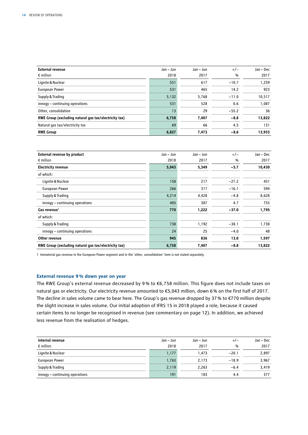| <b>External revenue</b>                               | Jan - Jun | $Jan - Jun$ | $+/-$         | Jan - Dec |
|-------------------------------------------------------|-----------|-------------|---------------|-----------|
| $\epsilon$ million                                    | 2018      | 2017        | $\frac{0}{0}$ | 2017      |
| Lignite & Nuclear                                     | 551       | 617         | $-10.7$       | 1,259     |
| <b>European Power</b>                                 | 531       | 465         | 14.2          | 923       |
| Supply & Trading                                      | 5,132     | 5.768       | $-11.0$       | 10.517    |
| innogy - continuing operations                        | 531       | 528         | 0.6           | 1,087     |
| Other, consolidation                                  | 13        | 29          | $-55.2$       | 36        |
| RWE Group (excluding natural gas tax/electricity tax) | 6,758     | 7,407       | $-8.8$        | 13,822    |
| Natural gas tax/electricity tax                       | 69        | 66          | 4.5           | 131       |
| <b>RWE Group</b>                                      | 6,827     | 7,473       | $-8.6$        | 13,953    |

| External revenue by product                           | Jan – Jun | Jan - Jun | $+/-$   | Jan - Dec |
|-------------------------------------------------------|-----------|-----------|---------|-----------|
| $\epsilon$ million                                    | 2018      | 2017      | %       | 2017      |
| <b>Electricity revenue</b>                            | 5,043     | 5,349     | $-5.7$  | 10,430    |
| of which:                                             |           |           |         |           |
| Lignite & Nuclear                                     | 158       | 217       | $-27.2$ | 451       |
| <b>European Power</b>                                 | 266       | 317       | $-16.1$ | 594       |
| Supply & Trading                                      | 4,214     | 4,428     | $-4.8$  | 8,628     |
| innogy - continuing operations                        | 405       | 387       | 4.7     | 755       |
| Gas revenue <sup>1</sup>                              | 770       | 1,222     | $-37.0$ | 1,795     |
| of which:                                             |           |           |         |           |
| Supply & Trading                                      | 738       | 1,192     | $-38.1$ | 1,738     |
| innogy - continuing operations                        | 24        | 25        | $-4.0$  | 48        |
| Other revenue                                         | 945       | 836       | 13.0    | 1,597     |
| RWE Group (excluding natural gas tax/electricity tax) | 6,758     | 7,407     | $-8.8$  | 13,822    |

1 Immaterial gas revenue in the European Power segment and in the 'other, consolidation' item is not stated separately.

# **External revenue 9% down year on year**

The RWE Group's external revenue decreased by 9 % to €6,758 million. This figure does not include taxes on natural gas or electricity. Our electricity revenue amounted to €5,043 million, down 6% on the first half of 2017. The decline in sales volume came to bear here. The Group's gas revenue dropped by 37% to €770 million despite the slight increase in sales volume. Our initial adoption of IFRS 15 in 2018 played a role, because it caused certain items to no longer be recognised in revenue (see commentary on page 12). In addition, we achieved less revenue from the realisation of hedges.

| Internal revenue               | Jan – Jun | Jan – Jun | $+/-$         | Jan - Dec |
|--------------------------------|-----------|-----------|---------------|-----------|
| $\epsilon$ million             | 2018      | 2017      | $\frac{0}{0}$ | 2017      |
| Lignite & Nuclear              | 1,177     | 1.473     | $-20.1$       | 2,897     |
| <b>European Power</b>          | 1,763     | 2.173     | $-18.9$       | 3.967     |
| Supply & Trading               | 2,119     | 2,263     | $-6.4$        | 3,419     |
| innogy - continuing operations | 191       | 183       | 4.4           | 377       |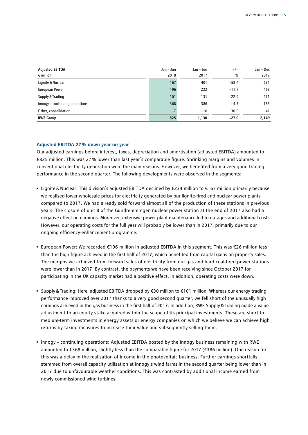| <b>Adjusted EBITDA</b>         | Jan – Jun | Jan – Jun | $+/-$         | Jan - Dec |
|--------------------------------|-----------|-----------|---------------|-----------|
| $\epsilon$ million             | 2018      | 2017      | $\frac{0}{0}$ | 2017      |
| Lignite & Nuclear              | 167       | 401       | $-58.4$       | 671       |
| European Power                 | 196       | 222       | $-11.7$       | 463       |
| Supply & Trading               | 101       | 131       | $-22.9$       | 271       |
| innogy - continuing operations | 368       | 386       | $-4.7$        | 785       |
| Other, consolidation           | $-7$      | $-10$     | 30.0          | $-41$     |
| <b>RWE Group</b>               | 825       | 1,130     | $-27.0$       | 2,149     |

# **Adjusted EBITDA 27% down year on year**

Our adjusted earnings before interest, taxes, depreciation and amortisation (adjusted EBITDA) amounted to €825 million. This was 27 % lower than last year's comparable figure. Shrinking margins and volumes in conventional electricity generation were the main reasons. However, we benefited from a very good trading performance in the second quarter. The following developments were observed in the segments:

- Lignite&Nuclear: This division's adjusted EBITDA declined by €234 million to €167 million primarily because we realised lower wholesale prices for electricity generated by our lignite-fired and nuclear power plants compared to 2017. We had already sold forward almost all of the production of these stations in previous years. The closure of unit B of the Gundremmingen nuclear power station at the end of 2017 also had a negative effect on earnings. Moreover, extensive power plant maintenance led to outages and additional costs. However, our operating costs for the full year will probably be lower than in 2017, primarily due to our ongoing efficiency-enhancement programme.
- European Power: We recorded €196 million in adjusted EBITDA in this segment. This was €26 million less than the high figure achieved in the first half of 2017, which benefited from capital gains on property sales. The margins we achieved from forward sales of electricity from our gas and hard coal-fired power stations were lower than in 2017. By contrast, the payments we have been receiving since October 2017 for participating in the UK capacity market had a positive effect. In addition, operating costs were down.
- Supply&Trading: Here, adjusted EBITDA dropped by €30 million to €101 million. Whereas our energy trading performance improved over 2017 thanks to a very good second quarter, we fell short of the unusually high earnings achieved in the gas business in the first half of 2017. In addition, RWE Supply&Trading made a value adjustment to an equity stake acquired within the scope of its principal investments. These are short to medium-term investments in energy assets or energy companies on which we believe we can achieve high returns by taking measures to increase their value and subsequently selling them.
- innogy continuing operations: Adjusted EBITDA posted by the innogy business remaining with RWE amounted to €368 million, slightly less than the comparable figure for 2017 (€386 million). One reason for this was a delay in the realisation of income in the photovoltaic business. Further earnings shortfalls stemmed from overall capacity utilisation at innogy's wind farms in the second quarter being lower than in 2017 due to unfavourable weather conditions. This was contrasted by additional income earned from newly commissioned wind turbines.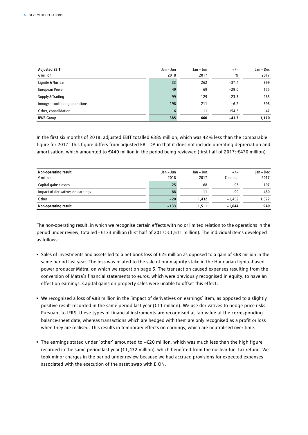| <b>Adjusted EBIT</b>           | Jan – Jun | Jan – Jun | $+/-$   | Jan - Dec |
|--------------------------------|-----------|-----------|---------|-----------|
| $\epsilon$ million             | 2018      | 2017      | %       | 2017      |
| Lignite & Nuclear              | 33        | 262       | $-87.4$ | 399       |
| European Power                 | 49        | 69        | $-29.0$ | 155       |
| Supply & Trading               | 99        | 129       | $-23.3$ | 265       |
| innogy - continuing operations | 198       | 211       | $-6.2$  | 398       |
| Other, consolidation           | 6         | $-11$     | 154.5   | $-47$     |
| <b>RWE Group</b>               | 385       | 660       | $-41.7$ | 1,170     |

In the first six months of 2018, adjusted EBIT totalled €385 million, which was 42% less than the comparable figure for 2017. This figure differs from adjusted EBITDA in that it does not include operating depreciation and amortisation, which amounted to €440 million in the period being reviewed (first half of 2017: €470 million).

| Non-operating result              | Jan – Jun | Jan – Jun | $+/-$              | Jan - Dec |
|-----------------------------------|-----------|-----------|--------------------|-----------|
| $\epsilon$ million                | 2018      | 2017      | $\epsilon$ million | 2017      |
| Capital gains/losses              | $-25$     | 68        | $-93$              | 107       |
| Impact of derivatives on earnings | $-88$     |           | $-99$              | $-480$    |
| Other                             | $-20$     | 1.432     | $-1.452$           | 1.322     |
| Non-operating result              | $-133$    | 1.511     | $-1.644$           | 949       |

The non-operating result, in which we recognise certain effects with no or limited relation to the operations in the period under review, totalled –€133 million (first half of 2017: €1,511 million). The individual items developed as follows:

- Sales of investments and assets led to a net book loss of €25 million as opposed to a gain of €68 million in the same period last year. The loss was related to the sale of our majority stake in the Hungarian lignite-based power producer Mátra, on which we report on page 5. The transaction caused expenses resulting from the conversion of Mátra's financial statements to euros, which were previously recognised in equity, to have an effect on earnings. Capital gains on property sales were unable to offset this effect.
- We recognised a loss of €88 million in the 'impact of derivatives on earnings' item, as opposed to a slightly positive result recorded in the same period last year (€11 million). We use derivatives to hedge price risks. Pursuant to IFRS, these types of financial instruments are recognised at fair value at the corresponding balance-sheet date, whereas transactions which are hedged with them are only recognised as a profit or loss when they are realised. This results in temporary effects on earnings, which are neutralised over time.
- The earnings stated under 'other' amounted to €20 million, which was much less than the high figure recorded in the same period last year (€1,432 million), which benefited from the nuclear fuel tax refund. We took minor charges in the period under review because we had accrued provisions for expected expenses associated with the execution of the asset swap with E.ON.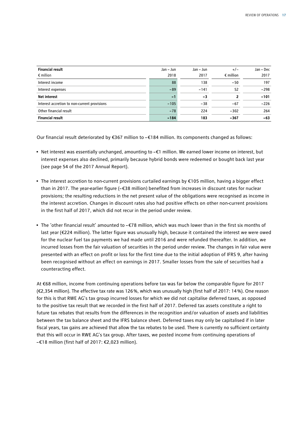| <b>Financial result</b><br>$\epsilon$ million | Jan - Jun<br>2018 | Jan - Jun<br>2017 | $+/-$<br>$\epsilon$ million | Jan - Dec<br>2017 |
|-----------------------------------------------|-------------------|-------------------|-----------------------------|-------------------|
| Interest income                               | 88                | 138               | $-50$                       | 197               |
| Interest expenses                             | $-89$             | $-141$            | 52                          | $-298$            |
| <b>Net interest</b>                           | $-1$              | -3                |                             | $-101$            |
| Interest accretion to non-current provisions  | $-105$            | $-38$             | $-67$                       | $-226$            |
| Other financial result                        | $-78$             | 224               | $-302$                      | 264               |
| <b>Financial result</b>                       | $-184$            | 183               | $-367$                      | $-63$             |

Our financial result deteriorated by €367 million to –€184 million. Its components changed as follows:

- Net interest was essentially unchanged, amounting to –€1 million. We earned lower income on interest, but interest expenses also declined, primarily because hybrid bonds were redeemed or bought back last year (see page 54 of the 2017 Annual Report).
- The interest accretion to non-current provisions curtailed earnings by €105 million, having a bigger effect than in 2017. The year-earlier figure (–€38 million) benefited from increases in discount rates for nuclear provisions; the resulting reductions in the net present value of the obligations were recognised as income in the interest accretion. Changes in discount rates also had positive effects on other non-current provisions in the first half of 2017, which did not recur in the period under review.
- The 'other financial result' amounted to –€78 million, which was much lower than in the first six months of last year (€224 million). The latter figure was unusually high, because it contained the interest we were owed for the nuclear fuel tax payments we had made until 2016 and were refunded thereafter. In addition, we incurred losses from the fair valuation of securities in the period under review. The changes in fair value were presented with an effect on profit or loss for the first time due to the initial adoption of IFRS 9, after having been recognised without an effect on earnings in 2017. Smaller losses from the sale of securities had a counteracting effect.

At €68 million, income from continuing operations before tax was far below the comparable figure for 2017 (€2,354 million). The effective tax rate was 126%, which was unusually high (first half of 2017: 14%). One reason for this is that RWE AG's tax group incurred losses for which we did not capitalise deferred taxes, as opposed to the positive tax result that we recorded in the first half of 2017. Deferred tax assets constitute a right to future tax rebates that results from the differences in the recognition and/or valuation of assets and liabilities between the tax balance sheet and the IFRS balance sheet. Deferred taxes may only be capitalised if in later fiscal years, tax gains are achieved that allow the tax rebates to be used. There is currently no sufficient certainty that this will occur in RWE AG's tax group. After taxes, we posted income from continuing operations of –€18 million (first half of 2017: €2,023 million).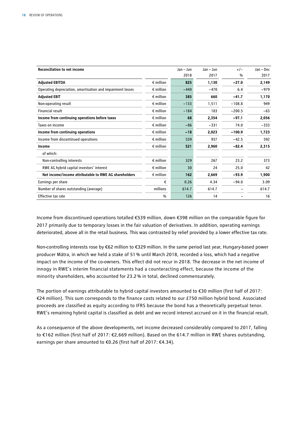| <b>Reconciliation to net income</b>                        |                    | Jan - Jun | Jan - Jun | $+/-$         | Jan – Dec |
|------------------------------------------------------------|--------------------|-----------|-----------|---------------|-----------|
|                                                            |                    | 2018      | 2017      | $\frac{0}{0}$ | 2017      |
| <b>Adjusted EBITDA</b>                                     | $\epsilon$ million | 825       | 1,130     | $-27.0$       | 2,149     |
| Operating depreciation, amortisation and impairment losses | $\epsilon$ million | $-440$    | $-470$    | 6.4           | $-979$    |
| <b>Adjusted EBIT</b>                                       | $\epsilon$ million | 385       | 660       | $-41.7$       | 1,170     |
| Non-operating result                                       | $\epsilon$ million | $-133$    | 1,511     | $-108.8$      | 949       |
| <b>Financial result</b>                                    | $\epsilon$ million | $-184$    | 183       | $-200.5$      | $-63$     |
| Income from continuing operations before taxes             | $\epsilon$ million | 68        | 2,354     | $-97.1$       | 2,056     |
| Taxes on income                                            | $\epsilon$ million | $-86$     | $-331$    | 74.0          | $-333$    |
| Income from continuing operations                          | $\epsilon$ million | $-18$     | 2,023     | $-100.9$      | 1,723     |
| Income from discontinued operations                        | $\epsilon$ million | 539       | 937       | $-42.5$       | 592       |
| Income                                                     | $\epsilon$ million | 521       | 2,960     | $-82.4$       | 2,315     |
| of which:                                                  |                    |           |           |               |           |
| Non-controlling interests                                  | $\epsilon$ million | 329       | 267       | 23.2          | 373       |
| RWE AG hybrid capital investors' interest                  | $\epsilon$ million | 30        | 24        | 25.0          | 42        |
| Net income/income attributable to RWE AG shareholders      | $\epsilon$ million | 162       | 2,669     | $-93.9$       | 1,900     |
| Earnings per share                                         | €                  | 0.26      | 4.34      | $-94.0$       | 3.09      |
| Number of shares outstanding (average)                     | millions           | 614.7     | 614.7     |               | 614.7     |
| <b>Effective tax rate</b>                                  | $\frac{0}{0}$      | 126       | 14        |               | 16        |

Income from discontinued operations totalled €539 million, down €398 million on the comparable figure for 2017 primarily due to temporary losses in the fair valuation of derivatives. In addition, operating earnings deteriorated, above all in the retail business. This was contrasted by relief provided by a lower effective tax rate.

Non-controlling interests rose by €62 million to €329 million. In the same period last year, Hungary-based power producer Mátra, in which we held a stake of 51% until March 2018, recorded a loss, which had a negative impact on the income of the co-owners. This effect did not recur in 2018. The decrease in the net income of innogy in RWE's interim financial statements had a counteracting effect, because the income of the minority shareholders, who accounted for 23.2% in total, declined commensurately.

The portion of earnings attributable to hybrid capital investors amounted to €30 million (first half of 2017: €24 million). This sum corresponds to the finance costs related to our £750 million hybrid bond. Associated proceeds are classified as equity according to IFRS because the bond has a theoretically perpetual tenor. RWE's remaining hybrid capital is classified as debt and we record interest accrued on it in the financial result.

As a consequence of the above developments, net income decreased considerably compared to 2017, falling to €162 million (first half of 2017: €2,669 million). Based on the 614.7 million in RWE shares outstanding, earnings per share amounted to €0.26 (first half of 2017: €4.34).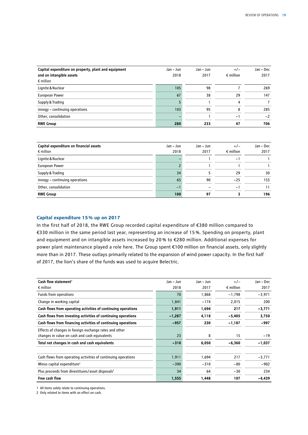| Capital expenditure on property, plant and equipment<br>and on intangible assets<br>$\epsilon$ million | Jan – Jun<br>2018 | Jan – Jun<br>2017 | $+/-$<br>$\epsilon$ million | Jan - Dec<br>2017 |
|--------------------------------------------------------------------------------------------------------|-------------------|-------------------|-----------------------------|-------------------|
| Lignite & Nuclear                                                                                      | 105               | 98                |                             | 269               |
| European Power                                                                                         | 67                | 38                | 29                          | 147               |
| Supply & Trading                                                                                       |                   |                   | 4                           |                   |
| innogy - continuing operations                                                                         | 103               | 95                | 8                           | 285               |
| Other, consolidation                                                                                   |                   |                   | $-1$                        | $-2$              |
| <b>RWE Group</b>                                                                                       | 280               | 233               | 47                          | 706               |

| Capital expenditure on financial assets | Jan – Jun | Jan – Jun | $+/-$              | Jan - Dec |
|-----------------------------------------|-----------|-----------|--------------------|-----------|
| $\epsilon$ million                      | 2018      | 2017      | $\epsilon$ million | 2017      |
| Lignite & Nuclear                       |           |           | -                  |           |
| European Power                          |           |           |                    |           |
| Supply & Trading                        | 34        |           | 29                 | 30        |
| innogy - continuing operations          | 65        | 90        | $-25$              | 153       |
| Other, consolidation                    | - 1       |           | ÷.                 | 11        |
| <b>RWE Group</b>                        | 100       | 97        |                    | 196       |

# **Capital expenditure 15% up on 2017**

In the first half of 2018, the RWE Group recorded capital expenditure of €380 million compared to €330 million in the same period last year, representing an increase of 15 %. Spending on property, plant and equipment and on intangible assets increased by 20 % to €280 million. Additional expenses for power plant maintenance played a role here. The Group spent €100 million on financial assets, only slightly more than in 2017. These outlays primarily related to the expansion of wind power capacity. In the first half of 2017, the lion's share of the funds was used to acquire Belectric.

| Cash flow statement <sup>1</sup>                              | Jan – Jun | Jan - Jun | $+/-$              | Jan - Dec |
|---------------------------------------------------------------|-----------|-----------|--------------------|-----------|
| $\epsilon$ million                                            | 2018      | 2017      | $\epsilon$ million | 2017      |
| Funds from operations                                         | 70        | 1,868     | $-1,798$           | $-3,971$  |
| Change in working capital                                     | 1,841     | $-174$    | 2,015              | 200       |
| Cash flows from operating activities of continuing operations | 1,911     | 1,694     | 217                | -3,771    |
| Cash flows from investing activities of continuing operations | $-1,287$  | 4,118     | $-5,405$           | 3,750     |
| Cash flows from financing activities of continuing operations | $-957$    | 230       | $-1,187$           | -997      |
| Effects of changes in foreign exchange rates and other        |           |           |                    |           |
| changes in value on cash and cash equivalents                 | 23        | 8         | 15                 | $-19$     |
| Total net changes in cash and cash equivalents                | $-310$    | 6,050     | $-6,360$           | -1,037    |
| Cash flows from operating activities of continuing operations | 1,911     | 1,694     | 217                | $-3,771$  |
| Minus capital expenditure <sup>2</sup>                        | $-390$    | $-310$    | $-80$              | $-902$    |
| Plus proceeds from divestitures/asset disposals <sup>2</sup>  | 34        | 64        | $-30$              | 234       |
| Free cash flow                                                | 1,555     | 1,448     | 107                | -4,439    |

1 All items solely relate to continuing operations.

2 Only related to items with an effect on cash.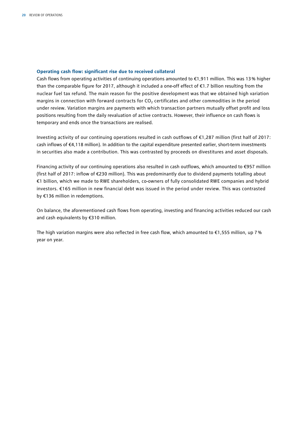## **Operating cash flow: significant rise due to received collateral**

Cash flows from operating activities of continuing operations amounted to €1,911 million. This was 13% higher than the comparable figure for 2017, although it included a one-off effect of €1.7 billion resulting from the nuclear fuel tax refund. The main reason for the positive development was that we obtained high variation margins in connection with forward contracts for  $CO<sub>2</sub>$  certificates and other commodities in the period under review. Variation margins are payments with which transaction partners mutually offset profit and loss positions resulting from the daily revaluation of active contracts. However, their influence on cash flows is temporary and ends once the transactions are realised.

Investing activity of our continuing operations resulted in cash outflows of €1,287 million (first half of 2017: cash inflows of €4,118 million). In addition to the capital expenditure presented earlier, short-term investments in securities also made a contribution. This was contrasted by proceeds on divestitures and asset disposals.

Financing activity of our continuing operations also resulted in cash outflows, which amounted to €957 million (first half of 2017: inflow of €230 million). This was predominantly due to dividend payments totalling about €1 billion, which we made to RWE shareholders, co-owners of fully consolidated RWE companies and hybrid investors. €165 million in new financial debt was issued in the period under review. This was contrasted by €136 million in redemptions.

On balance, the aforementioned cash flows from operating, investing and financing activities reduced our cash and cash equivalents by €310 million.

The high variation margins were also reflected in free cash flow, which amounted to  $\epsilon$ 1,555 million, up 7% year on year.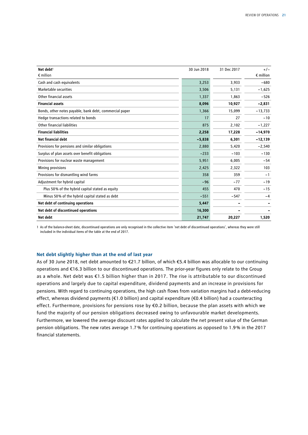| Net debt <sup>1</sup>                                   | 30 Jun 2018 | 31 Dec 2017 | $+/-$              |
|---------------------------------------------------------|-------------|-------------|--------------------|
| $\epsilon$ million                                      |             |             | $\epsilon$ million |
| Cash and cash equivalents                               | 3,253       | 3,933       | $-680$             |
| Marketable securities                                   | 3,506       | 5,131       | $-1,625$           |
| Other financial assets                                  | 1,337       | 1,863       | $-526$             |
| <b>Financial assets</b>                                 | 8,096       | 10,927      | $-2,831$           |
| Bonds, other notes payable, bank debt, commercial paper | 1,366       | 15,099      | $-13,733$          |
| Hedge transactions related to bonds                     | 17          | 27          | $-10$              |
| Other financial liabilities                             | 875         | 2,102       | $-1,227$           |
| <b>Financial liabilities</b>                            | 2,258       | 17,228      | $-14,970$          |
| Net financial debt                                      | $-5,838$    | 6,301       | $-12,139$          |
| Provisions for pensions and similar obligations         | 2,880       | 5,420       | $-2,540$           |
| Surplus of plan assets over benefit obligations         | $-233$      | $-103$      | $-130$             |
| Provisions for nuclear waste management                 | 5,951       | 6,005       | $-54$              |
| Mining provisions                                       | 2,425       | 2,322       | 103                |
| Provisions for dismantling wind farms                   | 358         | 359         | $-1$               |
| Adjustment for hybrid capital                           | $-96$       | $-77$       | $-19$              |
| Plus 50% of the hybrid capital stated as equity         | 455         | 470         | $-15$              |
| Minus 50% of the hybrid capital stated as debt          | $-551$      | $-547$      | $-4$               |
| Net debt of continuing operations                       | 5,447       |             |                    |
| Net debt of discontinued operations                     | 16,300      |             |                    |
| Net debt                                                | 21,747      | 20,227      | 1,520              |

1 As of the balance-sheet date, discontinued operations are only recognised in the collective item 'net debt of discontinued operations', whereas they were still included in the individual items of the table at the end of 2017.

#### **Net debt slightly higher than at the end of last year**

As of 30 June 2018, net debt amounted to €21.7 billion, of which €5.4 billion was allocable to our continuing operations and €16.3 billion to our discontinued operations. The prior-year figures only relate to the Group as a whole. Net debt was €1.5 billion higher than in 2017. The rise is attributable to our discontinued operations and largely due to capital expenditure, dividend payments and an increase in provisions for pensions. With regard to continuing operations, the high cash flows from variation margins had a debt-reducing effect, whereas dividend payments (€1.0 billion) and capital expenditure (€0.4 billion) had a counteracting effect. Furthermore, provisions for pensions rose by €0.2 billion, because the plan assets with which we fund the majority of our pension obligations decreased owing to unfavourable market developments. Furthermore, we lowered the average discount rates applied to calculate the net present value of the German pension obligations. The new rates average 1.7% for continuing operations as opposed to 1.9% in the 2017 financial statements.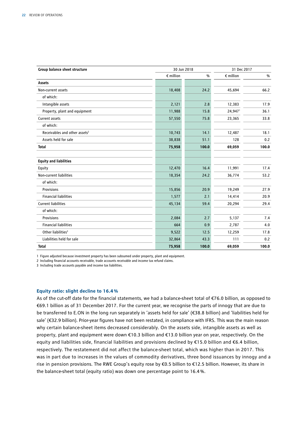| Group balance sheet structure             | 30 Jun 2018        |       | 31 Dec 2017        |       |
|-------------------------------------------|--------------------|-------|--------------------|-------|
|                                           | $\epsilon$ million | $\%$  | $\epsilon$ million | %     |
| Assets                                    |                    |       |                    |       |
| Non-current assets                        | 18,408             | 24.2  | 45,694             | 66.2  |
| of which:                                 |                    |       |                    |       |
| Intangible assets                         | 2,121              | 2.8   | 12,383             | 17.9  |
| Property, plant and equipment             | 11,988             | 15.8  | 24,947             | 36.1  |
| Current assets                            | 57,550             | 75.8  | 23,365             | 33.8  |
| of which:                                 |                    |       |                    |       |
| Receivables and other assets <sup>2</sup> | 10,743             | 14.1  | 12,487             | 18.1  |
| Assets held for sale                      | 38,838             | 51.1  | 128                | 0.2   |
| <b>Total</b>                              | 75,958             | 100.0 | 69,059             | 100.0 |
| <b>Equity and liabilities</b>             |                    |       |                    |       |
| Equity                                    | 12,470             | 16.4  | 11,991             | 17.4  |
| Non-current liabilities                   | 18,354             | 24.2  | 36,774             | 53.2  |
| of which:                                 |                    |       |                    |       |
| Provisions                                | 15,856             | 20.9  | 19,249             | 27.9  |
| <b>Financial liabilities</b>              | 1,577              | 2.1   | 14,414             | 20.9  |
| <b>Current liabilities</b>                | 45,134             | 59.4  | 20,294             | 29.4  |
| of which:                                 |                    |       |                    |       |
| Provisions                                | 2,084              | 2.7   | 5,137              | 7.4   |
| <b>Financial liabilities</b>              | 664                | 0.9   | 2,787              | 4.0   |
| Other liabilities <sup>3</sup>            | 9,522              | 12.5  | 12,259             | 17.8  |
| Liabilities held for sale                 | 32,864             | 43.3  | 111                | 0.2   |
| <b>Total</b>                              | 75,958             | 100.0 | 69,059             | 100.0 |

1 Figure adjusted because investment property has been subsumed under property, plant and equipment.

2 Including financial accounts receivable, trade accounts receivable and income tax refund claims.

3 Including trade accounts payable and income tax liabilities.

# **Equity ratio: slight decline to 16.4%**

As of the cut-off date for the financial statements, we had a balance-sheet total of €76.0 billion, as opposed to €69.1 billion as of 31 December 2017. For the current year, we recognise the parts of innogy that are due to be transferred to E.ON in the long run separately in 'assets held for sale' (€38.8 billion) and 'liabilities held for sale' (€32.9 billion). Prior-year figures have not been restated, in compliance with IFRS. This was the main reason why certain balance-sheet items decreased considerably. On the assets side, intangible assets as well as property, plant and equipment were down €10.3 billion and €13.0 billion year on year, respectively. On the equity and liabilities side, financial liabilities and provisions declined by €15.0 billion and €6.4 billion, respectively. The restatement did not affect the balance-sheet total, which was higher than in 2017. This was in part due to increases in the values of commodity derivatives, three bond issuances by innogy and a rise in pension provisions. The RWE Group's equity rose by €0.5 billion to €12.5 billion. However, its share in the balance-sheet total (equity ratio) was down one percentage point to 16.4%.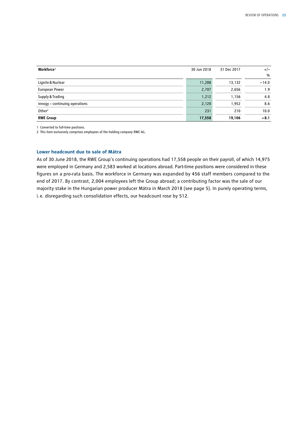| Workforce <sup>1</sup>         | 30 Jun 2018 | 31 Dec 2017 | $+/-$   |
|--------------------------------|-------------|-------------|---------|
|                                |             |             | $\%$    |
| Lignite & Nuclear              | 11,288      | 13,132      | $-14.0$ |
| European Power                 | 2,707       | 2,656       | 1.9     |
| Supply & Trading               | 1,212       | 1,156       | 4.8     |
| innogy - continuing operations | 2,120       | 1,952       | 8.6     |
| Other <sup>2</sup>             | 231         | 210         | 10.0    |
| <b>RWE Group</b>               | 17,558      | 19,106      | $-8.1$  |

1 Converted to full-time positions.

2 This item exclusively comprises employees of the holding company RWE AG.

# **Lower headcount due to sale of Mátra**

As of 30 June 2018, the RWE Group's continuing operations had 17,558 people on their payroll, of which 14,975 were employed in Germany and 2,583 worked at locations abroad. Part-time positions were considered in these figures on a pro-rata basis. The workforce in Germany was expanded by 456 staff members compared to the end of 2017. By contrast, 2,004 employees left the Group abroad; a contributing factor was the sale of our majority stake in the Hungarian power producer Mátra in March 2018 (see page 5). In purely operating terms, i.e. disregarding such consolidation effects, our headcount rose by 512.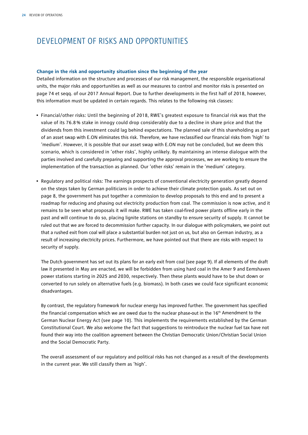# DEVELOPMENT OF RISKS AND OPPORTUNITIES

# **Change in the risk and opportunity situation since the beginning of the year**

Detailed information on the structure and processes of our risk management, the responsible organisational units, the major risks and opportunities as well as our measures to control and monitor risks is presented on page 74 et seqq. of our 2017 Annual Report. Due to further developments in the first half of 2018, however, this information must be updated in certain regards. This relates to the following risk classes:

- Financial/other risks: Until the beginning of 2018, RWE's greatest exposure to financial risk was that the value of its 76.8 % stake in innogy could drop considerably due to a decline in share price and that the dividends from this investment could lag behind expectations. The planned sale of this shareholding as part of an asset swap with E.ON eliminates this risk. Therefore, we have reclassified our financial risks from 'high' to 'medium'. However, it is possible that our asset swap with E.ON may not be concluded, but we deem this scenario, which is considered in 'other risks', highly unlikely. By maintaining an intense dialogue with the parties involved and carefully preparing and supporting the approval processes, we are working to ensure the implementation of the transaction as planned. Our 'other risks' remain in the 'medium' category.
- Regulatory and political risks: The earnings prospects of conventional electricity generation greatly depend on the steps taken by German politicians in order to achieve their climate protection goals. As set out on page 8, the government has put together a commission to develop proposals to this end and to present a roadmap for reducing and phasing out electricity production from coal. The commission is now active, and it remains to be seen what proposals it will make. RWE has taken coal-fired power plants offline early in the past and will continue to do so, placing lignite stations on standby to ensure security of supply. It cannot be ruled out that we are forced to decommission further capacity. In our dialogue with policymakers, we point out that a rushed exit from coal will place a substantial burden not just on us, but also on German industry, as a result of increasing electricity prices. Furthermore, we have pointed out that there are risks with respect to security of supply.

The Dutch government has set out its plans for an early exit from coal (see page 9). If all elements of the draft law it presented in May are enacted, we will be forbidden from using hard coal in the Amer 9 and Eemshaven power stations starting in 2025 and 2030, respectively. Then these plants would have to be shut down or converted to run solely on alternative fuels (e.g. biomass). In both cases we could face significant economic disadvantages.

By contrast, the regulatory framework for nuclear energy has improved further. The government has specified the financial compensation which we are owed due to the nuclear phase-out in the  $16<sup>th</sup>$  Amendment to the German Nuclear Energy Act (see page 10). This implements the requirements established by the German Constitutional Court. We also welcome the fact that suggestions to reintroduce the nuclear fuel tax have not found their way into the coalition agreement between the Christian Democratic Union/Christian Social Union and the Social Democratic Party.

The overall assessment of our regulatory and political risks has not changed as a result of the developments in the current year. We still classify them as 'high'.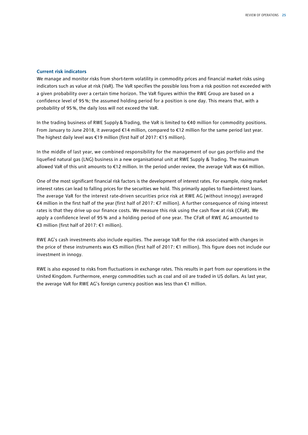## **Current risk indicators**

We manage and monitor risks from short-term volatility in commodity prices and financial market risks using indicators such as value at risk (VaR). The VaR specifies the possible loss from a risk position not exceeded with a given probability over a certain time horizon. The VaR figures within the RWE Group are based on a confidence level of 95 %; the assumed holding period for a position is one day. This means that, with a probability of 95%, the daily loss will not exceed the VaR.

In the trading business of RWE Supply & Trading, the VaR is limited to €40 million for commodity positions. From January to June 2018, it averaged €14 million, compared to €12 million for the same period last year. The highest daily level was €19 million (first half of 2017: €15 million).

In the middle of last year, we combined responsibility for the management of our gas portfolio and the liquefied natural gas (LNG) business in a new organisational unit at RWE Supply & Trading. The maximum allowed VaR of this unit amounts to €12 million. In the period under review, the average VaR was €4 million.

One of the most significant financial risk factors is the development of interest rates. For example, rising market interest rates can lead to falling prices for the securities we hold. This primarily applies to fixed-interest loans. The average VaR for the interest rate-driven securities price risk at RWE AG (without innogy) averaged €4 million in the first half of the year (first half of 2017: €7 million). A further consequence of rising interest rates is that they drive up our finance costs. We measure this risk using the cash flow at risk (CFaR). We apply a confidence level of 95 % and a holding period of one year. The CFaR of RWE AG amounted to €3 million (first half of 2017: €1 million).

RWE AG's cash investments also include equities. The average VaR for the risk associated with changes in the price of these instruments was €5 million (first half of 2017: €1 million). This figure does not include our investment in innogy.

RWE is also exposed to risks from fluctuations in exchange rates. This results in part from our operations in the United Kingdom. Furthermore, energy commodities such as coal and oil are traded in US dollars. As last year, the average VaR for RWE AG's foreign currency position was less than €1 million.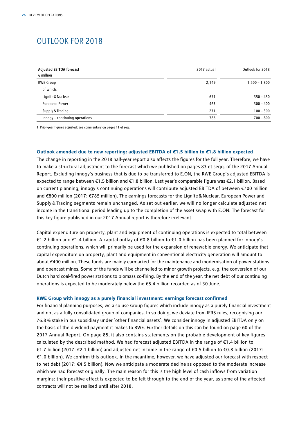# OUTLOOK FOR 2018

| <b>Adjusted EBITDA forecast</b><br>$\epsilon$ million | 2017 actual <sup>1</sup> | Outlook for 2018 |
|-------------------------------------------------------|--------------------------|------------------|
| <b>RWE Group</b>                                      | 2,149                    | $1,500 - 1,800$  |
| of which:                                             |                          |                  |
| Lignite & Nuclear                                     | 671                      | $350 - 450$      |
| <b>European Power</b>                                 | 463                      | $300 - 400$      |
| Supply & Trading                                      | 271                      | $100 - 300$      |
| innogy - continuing operations                        | 785                      | $700 - 800$      |

1 Prior-year figures adjusted; see commentary on pages 11 et seq.

# **Outlook amended due to new reporting: adjusted EBITDA of €1.5 billion to €1.8 billion expected**

The change in reporting in the 2018 half-year report also affects the figures for the full year. Therefore, we have to make a structural adjustment to the forecast which we published on pages 83 et seqq. of the 2017 Annual Report. Excluding innogy's business that is due to be transferred to E.ON, the RWE Group's adjusted EBITDA is expected to range between €1.5 billion and €1.8 billion. Last year's comparable figure was €2.1 billion. Based on current planning, innogy's continuing operations will contribute adjusted EBITDA of between €700 million and €800 million (2017: €785 million). The earnings forecasts for the Lignite&Nuclear, European Power and Supply & Trading segments remain unchanged. As set out earlier, we will no longer calculate adjusted net income in the transitional period leading up to the completion of the asset swap with E.ON. The forecast for this key figure published in our 2017 Annual report is therefore irrelevant.

Capital expenditure on property, plant and equipment of continuing operations is expected to total between €1.2 billion and €1.4 billion. A capital outlay of €0.8 billion to €1.0 billion has been planned for innogy's continuing operations, which will primarily be used for the expansion of renewable energy. We anticipate that capital expenditure on property, plant and equipment in conventional electricity generation will amount to about €400 million. These funds are mainly earmarked for the maintenance and modernisation of power stations and opencast mines. Some of the funds will be channelled to minor growth projects, e.g. the conversion of our Dutch hard coal-fired power stations to biomass co-firing. By the end of the year, the net debt of our continuing operations is expected to be moderately below the €5.4 billion recorded as of 30 June.

#### **RWE Group with innogy as a purely financial investment: earnings forecast confirmed**

For financial planning purposes, we also use Group figures which include innogy as a purely financial investment and not as a fully consolidated group of companies. In so doing, we deviate from IFRS rules, recognising our 76.8% stake in our subsidiary under 'other financial assets'. We consider innogy in adjusted EBITDA only on the basis of the dividend payment it makes to RWE. Further details on this can be found on page 60 of the 2017 Annual Report. On page 85, it also contains statements on the probable development of key figures calculated by the described method. We had forecast adjusted EBITDA in the range of €1.4 billion to €1.7 billion (2017: €2.1 billion) and adjusted net income in the range of €0.5 billion to €0.8 billion (2017: €1.0 billion). We confirm this outlook. In the meantime, however, we have adjusted our forecast with respect to net debt (2017: €4.5 billion). Now we anticipate a moderate decline as opposed to the moderate increase which we had forecast originally. The main reason for this is the high level of cash inflows from variation margins: their positive effect is expected to be felt through to the end of the year, as some of the affected contracts will not be realised until after 2018.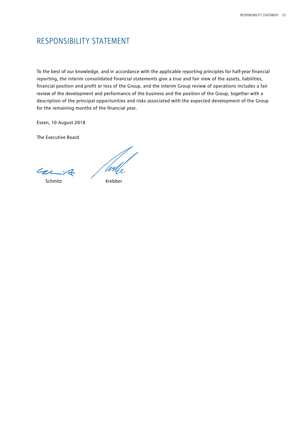# RESPONSIBILITY STATEMENT

To the best of our knowledge, and in accordance with the applicable reporting principles for half-year financial reporting, the interim consolidated financial statements give a true and fair view of the assets, liabilities, financial position and profit or loss of the Group, and the interim Group review of operations includes a fair review of the development and performance of the business and the position of the Group, together with a description of the principal opportunities and risks associated with the expected development of the Group for the remaining months of the financial year.

Essen, 10 August 2018

The Executive Board

Carit

'Wu

Schmitz Krebber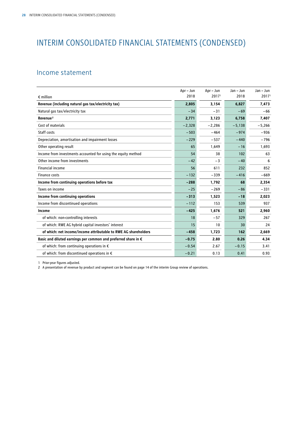# INTERIM CONSOLIDATED FINANCIAL STATEMENTS (CONDENSED)

# Income statement

|                                                                         | Apr - Jun | Apr - Jun         | Jan - Jun | Jan - Jun         |
|-------------------------------------------------------------------------|-----------|-------------------|-----------|-------------------|
| $\epsilon$ million                                                      | 2018      | 2017 <sup>1</sup> | 2018      | 2017 <sup>1</sup> |
| Revenue (including natural gas tax/electricity tax)                     | 2,805     | 3,154             | 6,827     | 7,473             |
| Natural gas tax/electricity tax                                         | $-34$     | $-31$             | $-69$     | $-66$             |
| Revenue <sup>2</sup>                                                    | 2,771     | 3,123             | 6.758     | 7,407             |
| Cost of materials                                                       | $-2,328$  | $-2,286$          | $-5,138$  | $-5,266$          |
| Staff costs                                                             | $-503$    | $-464$            | $-974$    | $-936$            |
| Depreciation, amortisation and impairment losses                        | $-229$    | $-537$            | $-440$    | $-796$            |
| Other operating result                                                  | 65        | 1,649             | $-16$     | 1,693             |
| Income from investments accounted for using the equity method           | 54        | 38                | 102       | 63                |
| Other income from investments                                           | $-42$     | $-3$              | $-40$     | 6                 |
| <b>Financial income</b>                                                 | 56        | 611               | 232       | 852               |
| <b>Finance costs</b>                                                    | $-132$    | $-339$            | $-416$    | $-669$            |
| Income from continuing operations before tax                            | $-288$    | 1,792             | 68        | 2,354             |
| Taxes on income                                                         | $-25$     | $-269$            | $-86$     | $-331$            |
| Income from continuing operations                                       | $-313$    | 1,523             | $-18$     | 2,023             |
| Income from discontinued operations                                     | $-112$    | 153               | 539       | 937               |
| Income                                                                  | $-425$    | 1,676             | 521       | 2,960             |
| of which: non-controlling interests                                     | 18        | $-57$             | 329       | 267               |
| of which: RWE AG hybrid capital investors' interest                     | 15        | 10                | 30        | 24                |
| of which: net income/income attributable to RWE AG shareholders         | $-458$    | 1,723             | 162       | 2,669             |
| Basic and diluted earnings per common and preferred share in $\epsilon$ | $-0.75$   | 2.80              | 0.26      | 4.34              |
| of which: from continuing operations in $\epsilon$                      | $-0.54$   | 2.67              | $-0.15$   | 3.41              |
| of which: from discontinued operations in $\epsilon$                    | $-0.21$   | 0.13              | 0.41      | 0.93              |

1 Prior-year figures adjusted.

2 A presentation of revenue by product and segment can be found on page 14 of the interim Group review of operations.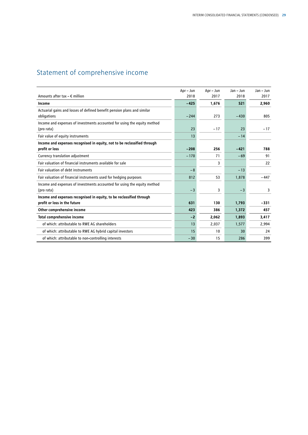# Statement of comprehensive income

|                                                                                        | Apr - Jun | Apr - Jun | Jan - Jun | $Jan - Jun$ |
|----------------------------------------------------------------------------------------|-----------|-----------|-----------|-------------|
| Amounts after tax $- \epsilon$ million                                                 | 2018      | 2017      | 2018      | 2017        |
| Income                                                                                 | $-425$    | 1,676     | 521       | 2,960       |
| Actuarial gains and losses of defined benefit pension plans and similar<br>obligations | $-244$    | 273       | $-430$    | 805         |
| Income and expenses of investments accounted for using the equity method<br>(pro rata) | 23        | $-17$     | 23        | $-17$       |
| Fair value of equity instruments                                                       | 13        |           | $-14$     |             |
| Income and expenses recognised in equity, not to be reclassified through               |           |           |           |             |
| profit or loss                                                                         | $-208$    | 256       | $-421$    | 788         |
| Currency translation adjustment                                                        | $-170$    | 71        | $-69$     | 91          |
| Fair valuation of financial instruments available for sale                             |           | 3         |           | 22          |
| Fair valuation of debt instruments                                                     | $-8$      |           | $-13$     |             |
| Fair valuation of financial instruments used for hedging purposes                      | 812       | 53        | 1,878     | $-447$      |
| Income and expenses of investments accounted for using the equity method<br>(pro rata) | $-3$      | 3         | $-3$      | 3           |
| Income and expenses recognised in equity, to be reclassified through                   |           |           |           |             |
| profit or loss in the future                                                           | 631       | 130       | 1,793     | $-331$      |
| Other comprehensive income                                                             | 423       | 386       | 1,372     | 457         |
| <b>Total comprehensive income</b>                                                      | $-2$      | 2,062     | 1,893     | 3,417       |
| of which: attributable to RWE AG shareholders                                          | 13        | 2,037     | 1,577     | 2,994       |
| of which: attributable to RWE AG hybrid capital investors                              | 15        | 10        | 30        | 24          |
| of which: attributable to non-controlling interests                                    | $-30$     | 15        | 286       | 399         |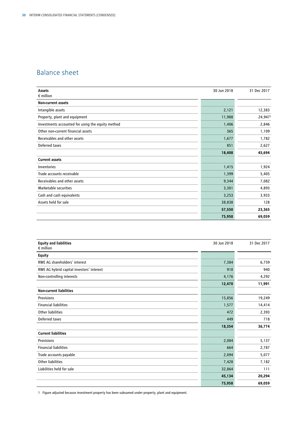# Balance sheet

| Assets<br>$\epsilon$ million                      | 30 Jun 2018 | 31 Dec 2017 |
|---------------------------------------------------|-------------|-------------|
| <b>Non-current assets</b>                         |             |             |
|                                                   |             |             |
| Intangible assets                                 | 2,121       | 12,383      |
| Property, plant and equipment                     | 11,988      | 24,9471     |
| Investments accounted for using the equity method | 1,406       | 2,846       |
| Other non-current financial assets                | 365         | 1,109       |
| Receivables and other assets                      | 1,677       | 1,782       |
| Deferred taxes                                    | 851         | 2,627       |
|                                                   | 18,408      | 45,694      |
| <b>Current assets</b>                             |             |             |
| Inventories                                       | 1,415       | 1,924       |
| Trade accounts receivable                         | 1,399       | 5,405       |
| Receivables and other assets                      | 9,344       | 7,082       |
| Marketable securities                             | 3,301       | 4,893       |
| Cash and cash equivalents                         | 3,253       | 3,933       |
| Assets held for sale                              | 38,838      | 128         |
|                                                   | 57,550      | 23,365      |
|                                                   | 75,958      | 69,059      |

| <b>Equity and liabilities</b><br>$\epsilon$ million | 30 Jun 2018 | 31 Dec 2017 |
|-----------------------------------------------------|-------------|-------------|
| <b>Equity</b>                                       |             |             |
| RWE AG shareholders' interest                       | 7,384       | 6,759       |
| RWE AG hybrid capital investors' interest           | 910         | 940         |
| Non-controlling interests                           | 4,176       | 4,292       |
|                                                     | 12,470      | 11,991      |
| <b>Non-current liabilities</b>                      |             |             |
| Provisions                                          | 15,856      | 19,249      |
| <b>Financial liabilities</b>                        | 1,577       | 14,414      |
| <b>Other liabilities</b>                            | 472         | 2,393       |
| Deferred taxes                                      | 449         | 718         |
|                                                     | 18,354      | 36,774      |
| <b>Current liabilities</b>                          |             |             |
| Provisions                                          | 2,084       | 5,137       |
| <b>Financial liabilities</b>                        | 664         | 2,787       |
| Trade accounts payable                              | 2,094       | 5,077       |
| Other liabilities                                   | 7,428       | 7,182       |
| Liabilities held for sale                           | 32,864      | 111         |
|                                                     | 45,134      | 20,294      |
|                                                     | 75,958      | 69,059      |

1 Figure adjusted because investment property has been subsumed under property, plant and equipment.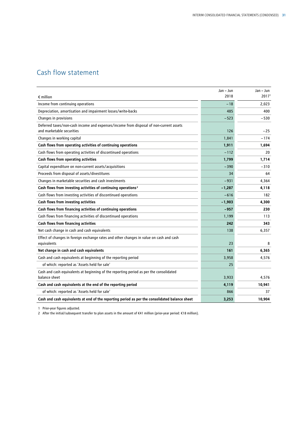# Cash flow statement

|                                                                                                                     | Jan - Jun | Jan - Jun         |
|---------------------------------------------------------------------------------------------------------------------|-----------|-------------------|
| $\epsilon$ million                                                                                                  | 2018      | 2017 <sup>1</sup> |
| Income from continuing operations                                                                                   | $-18$     | 2,023             |
| Depreciation, amortisation and impairment losses/write-backs                                                        | 485       | 400               |
| Changes in provisions                                                                                               | $-523$    | $-530$            |
| Deferred taxes/non-cash income and expenses/income from disposal of non-current assets<br>and marketable securities | 126       | $-25$             |
| Changes in working capital                                                                                          | 1,841     | $-174$            |
| Cash flows from operating activities of continuing operations                                                       | 1,911     | 1,694             |
| Cash flows from operating activities of discontinued operations                                                     | $-112$    | 20                |
| Cash flows from operating activities                                                                                | 1,799     | 1,714             |
| Capital expenditure on non-current assets/acquisitions                                                              | $-390$    | $-310$            |
| Proceeds from disposal of assets/divestitures                                                                       | 34        | 64                |
| Changes in marketable securities and cash investments                                                               | $-931$    | 4,364             |
| Cash flows from investing activities of continuing operations <sup>2</sup>                                          | $-1,287$  | 4,118             |
| Cash flows from investing activities of discontinued operations                                                     | $-616$    | 182               |
| Cash flows from investing activities                                                                                | $-1,903$  | 4,300             |
| Cash flows from financing activities of continuing operations                                                       | $-957$    | 230               |
| Cash flows from financing activities of discontinued operations                                                     | 1,199     | 113               |
| Cash flows from financing activities                                                                                | 242       | 343               |
| Net cash change in cash and cash equivalents                                                                        | 138       | 6,357             |
| Effect of changes in foreign exchange rates and other changes in value on cash and cash                             |           |                   |
| equivalents                                                                                                         | 23        | 8                 |
| Net change in cash and cash equivalents                                                                             | 161       | 6,365             |
| Cash and cash equivalents at beginning of the reporting period                                                      | 3,958     | 4,576             |
| of which: reported as 'Assets held for sale'                                                                        | 25        |                   |
| Cash and cash equivalents at beginning of the reporting period as per the consolidated<br>balance sheet             | 3,933     | 4,576             |
| Cash and cash equivalents at the end of the reporting period                                                        | 4,119     | 10,941            |
| of which: reported as 'Assets held for sale'                                                                        | 866       | 37                |
| Cash and cash equivalents at end of the reporting period as per the consolidated balance sheet                      | 3,253     | 10,904            |

1 Prior-year figures adjusted.

2 After the initial/subsequent transfer to plan assets in the amount of €41 million (prior-year period: €18 million).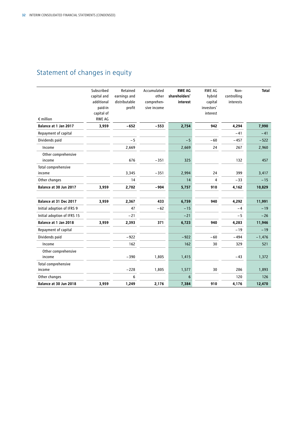# Statement of changes in equity

| $\epsilon$ million            | Subscribed<br>capital and<br>additional<br>paid-in<br>capital of<br><b>RWE AG</b> | Retained<br>earnings and<br>distributable<br>profit | Accumulated<br>other<br>comprehen-<br>sive income | <b>RWE AG</b><br>shareholders'<br>interest | <b>RWE AG</b><br>hybrid<br>capital<br>investors'<br>interest | Non-<br>controlling<br>interests | <b>Total</b> |
|-------------------------------|-----------------------------------------------------------------------------------|-----------------------------------------------------|---------------------------------------------------|--------------------------------------------|--------------------------------------------------------------|----------------------------------|--------------|
| Balance at 1 Jan 2017         | 3,959                                                                             | $-652$                                              | $-553$                                            | 2,754                                      | 942                                                          | 4,294                            | 7,990        |
| Repayment of capital          |                                                                                   |                                                     |                                                   |                                            |                                                              | $-41$                            | $-41$        |
| Dividends paid                |                                                                                   | $-5$                                                |                                                   | $-5$                                       | $-60$                                                        | $-457$                           | $-522$       |
| Income                        |                                                                                   | 2,669                                               |                                                   | 2,669                                      | 24                                                           | 267                              | 2,960        |
| Other comprehensive<br>income |                                                                                   | 676                                                 | $-351$                                            | 325                                        |                                                              | 132                              | 457          |
| Total comprehensive           |                                                                                   |                                                     |                                                   |                                            |                                                              |                                  |              |
| income                        |                                                                                   | 3,345                                               | $-351$                                            | 2,994                                      | 24                                                           | 399                              | 3,417        |
| Other changes                 |                                                                                   | 14                                                  |                                                   | 14                                         | 4                                                            | $-33$                            | $-15$        |
| Balance at 30 Jun 2017        | 3,959                                                                             | 2,702                                               | $-904$                                            | 5,757                                      | 910                                                          | 4,162                            | 10,829       |
| Balance at 31 Dec 2017        | 3,959                                                                             | 2,367                                               | 433                                               | 6,759                                      | 940                                                          | 4,292                            | 11,991       |
| Initial adoption of IFRS 9    |                                                                                   | 47                                                  | $-62$                                             | $-15$                                      |                                                              | $-4$                             | $-19$        |
| Initial adoption of IFRS 15   |                                                                                   | $-21$                                               |                                                   | $-21$                                      |                                                              | -5                               | $-26$        |
| Balance at 1 Jan 2018         | 3,959                                                                             | 2,393                                               | 371                                               | 6,723                                      | 940                                                          | 4,283                            | 11,946       |
| Repayment of capital          |                                                                                   |                                                     |                                                   |                                            |                                                              | $-19$                            | $-19$        |
| Dividends paid                |                                                                                   | $-922$                                              |                                                   | $-922$                                     | $-60$                                                        | $-494$                           | $-1,476$     |
| Income                        |                                                                                   | 162                                                 |                                                   | 162                                        | 30                                                           | 329                              | 521          |
| Other comprehensive           |                                                                                   |                                                     |                                                   |                                            |                                                              |                                  |              |
| income                        |                                                                                   | $-390$                                              | 1,805                                             | 1,415                                      |                                                              | $-43$                            | 1,372        |
| Total comprehensive           |                                                                                   |                                                     |                                                   |                                            |                                                              |                                  |              |
| income                        |                                                                                   | $-228$                                              | 1,805                                             | 1,577                                      | 30                                                           | 286                              | 1,893        |
| Other changes                 |                                                                                   | 6                                                   |                                                   | 6                                          |                                                              | 120                              | 126          |
| Balance at 30 Jun 2018        | 3,959                                                                             | 1,249                                               | 2,176                                             | 7,384                                      | 910                                                          | 4,176                            | 12,470       |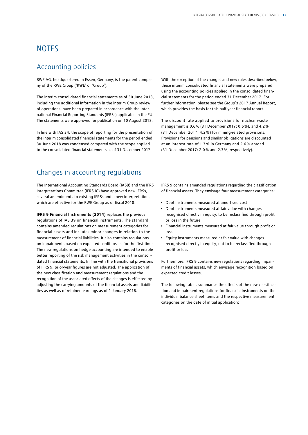# **NOTES**

# Accounting policies

RWE AG, headquartered in Essen, Germany, is the parent company of the RWE Group ('RWE' or 'Group').

The interim consolidated financial statements as of 30 June 2018, including the additional information in the interim Group review of operations, have been prepared in accordance with the International Financial Reporting Standards (IFRSs) applicable in the EU. The statements were approved for publication on 10 August 2018.

In line with IAS 34, the scope of reporting for the presentation of the interim consolidated financial statements for the period ended 30 June 2018 was condensed compared with the scope applied to the consolidated financial statements as of 31 December 2017.

# Changes in accounting regulations

The International Accounting Standards Board (IASB) and the IFRS Interpretations Committee (IFRS IC) have approved new IFRSs, several amendments to existing IFRSs and a new interpretation, which are effective for the RWE Group as of fiscal 2018:

**IFRS 9 Financial Instruments (2014)** replaces the previous regulations of IAS 39 on financial instruments. The standard contains amended regulations on measurement categories for financial assets and includes minor changes in relation to the measurement of financial liabilities. It also contains regulations on impairments based on expected credit losses for the first time. The new regulations on hedge accounting are intended to enable better reporting of the risk management activities in the consolidated financial statements. In line with the transitional provisions of IFRS 9, prior-year figures are not adjusted. The application of the new classification and measurement regulations and the recognition of the associated effects of the changes is effected by adjusting the carrying amounts of the financial assets and liabilities as well as of retained earnings as of 1 January 2018.

With the exception of the changes and new rules described below, these interim consolidated financial statements were prepared using the accounting policies applied in the consolidated financial statements for the period ended 31 December 2017. For further information, please see the Group's 2017 Annual Report, which provides the basis for this half-year financial report.

The discount rate applied to provisions for nuclear waste management is 0.6% (31 December 2017: 0.6%), and 4.2% (31 December 2017: 4.2 %) for mining-related provisions. Provisions for pensions and similar obligations are discounted at an interest rate of 1.7 % in Germany and 2.6 % abroad (31 December 2017: 2.0% and 2.3%, respectively).

IFRS 9 contains amended regulations regarding the classification of financial assets. They envisage four measurement categories:

- Debt instruments measured at amortised cost
- Debt instruments measured at fair value with changes recognised directly in equity, to be reclassified through profit or loss in the future
- Financial instruments measured at fair value through profit or loss
- Equity instruments measured at fair value with changes recognised directly in equity, not to be reclassified through profit or loss

Furthermore, IFRS 9 contains new regulations regarding impairments of financial assets, which envisage recognition based on expected credit losses.

The following tables summarise the effects of the new classification and impairment regulations for financial instruments on the individual balance-sheet items and the respective measurement categories on the date of initial application: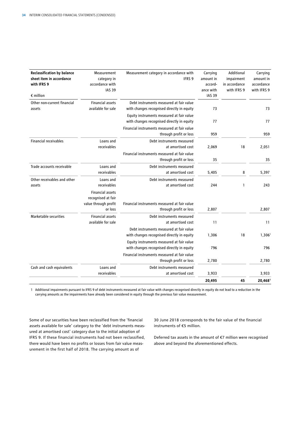| <b>Reclassification by balance</b><br>sheet item in accordance<br>with IFRS 9<br>$\epsilon$ million | Measurement<br>category in<br>accordance with<br><b>IAS 39</b> | Measurement category in accordance with<br>IFRS <sub>9</sub>           | Carrying<br>amount in<br>accord-<br>ance with<br><b>IAS 39</b> | Additional<br>impairment<br>in accordance<br>with IFRS 9 | Carrying<br>amount in<br>accordance<br>with IFRS 9 |
|-----------------------------------------------------------------------------------------------------|----------------------------------------------------------------|------------------------------------------------------------------------|----------------------------------------------------------------|----------------------------------------------------------|----------------------------------------------------|
| Other non-current financial                                                                         | <b>Financial assets</b>                                        | Debt instruments measured at fair value                                |                                                                |                                                          |                                                    |
| assets                                                                                              | available for sale                                             | with changes recognised directly in equity                             | 73                                                             |                                                          | 73                                                 |
|                                                                                                     |                                                                | Equity instruments measured at fair value                              |                                                                |                                                          |                                                    |
|                                                                                                     |                                                                | with changes recognised directly in equity                             | 77                                                             |                                                          | 77                                                 |
|                                                                                                     |                                                                | Financial instruments measured at fair value<br>through profit or loss | 959                                                            |                                                          | 959                                                |
| <b>Financial receivables</b>                                                                        | Loans and<br>receivables                                       | Debt instruments measured<br>at amortised cost                         | 2,069                                                          | 18                                                       | 2,051                                              |
|                                                                                                     |                                                                | Financial instruments measured at fair value<br>through profit or loss | 35                                                             |                                                          | 35                                                 |
| Trade accounts receivable                                                                           | Loans and                                                      | Debt instruments measured                                              |                                                                |                                                          |                                                    |
|                                                                                                     | receivables                                                    | at amortised cost                                                      | 5,405                                                          | 8                                                        | 5,397                                              |
| Other receivables and other                                                                         | Loans and                                                      | Debt instruments measured                                              |                                                                |                                                          |                                                    |
| assets                                                                                              | receivables                                                    | at amortised cost                                                      | 244                                                            | 1                                                        | 243                                                |
|                                                                                                     | <b>Financial assets</b><br>recognised at fair                  |                                                                        |                                                                |                                                          |                                                    |
|                                                                                                     | value through profit                                           | Financial instruments measured at fair value                           |                                                                |                                                          |                                                    |
|                                                                                                     | or loss                                                        | through profit or loss                                                 | 2,807                                                          |                                                          | 2,807                                              |
| Marketable securities                                                                               | <b>Financial assets</b><br>available for sale                  | Debt instruments measured<br>at amortised cost                         | 11                                                             |                                                          | 11                                                 |
|                                                                                                     |                                                                | Debt instruments measured at fair value                                |                                                                |                                                          |                                                    |
|                                                                                                     |                                                                | with changes recognised directly in equity                             | 1,306                                                          | 18                                                       | $1,306^{\circ}$                                    |
|                                                                                                     |                                                                | Equity instruments measured at fair value                              |                                                                |                                                          |                                                    |
|                                                                                                     |                                                                | with changes recognised directly in equity                             | 796                                                            |                                                          | 796                                                |
|                                                                                                     |                                                                | Financial instruments measured at fair value                           |                                                                |                                                          |                                                    |
|                                                                                                     |                                                                | through profit or loss                                                 | 2,780                                                          |                                                          | 2,780                                              |
| Cash and cash equivalents                                                                           | Loans and                                                      | Debt instruments measured                                              |                                                                |                                                          |                                                    |
|                                                                                                     | receivables                                                    | at amortised cost                                                      | 3,933                                                          |                                                          | 3,933                                              |
|                                                                                                     |                                                                |                                                                        | 20,495                                                         | 45                                                       | 20,468                                             |

1 Additional impairments pursuant to IFRS 9 of debt instruments measured at fair value with changes recognised directly in equity do not lead to a reduction in the carrying amounts as the impairments have already been considered in equity through the previous fair value measurement.

Some of our securities have been reclassified from the 'financial assets available for sale' category to the 'debt instruments measured at amortised cost' category due to the initial adoption of IFRS 9. If these financial instruments had not been reclassified, there would have been no profits or losses from fair value measurement in the first half of 2018. The carrying amount as of

30 June 2018 corresponds to the fair value of the financial instruments of €5 million.

Deferred tax assets in the amount of €7 million were recognised above and beyond the aforementioned effects.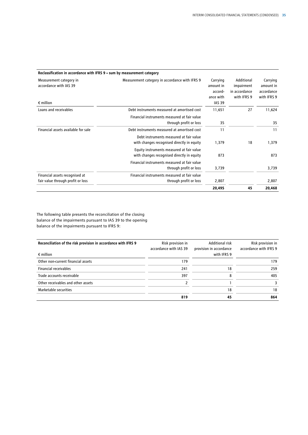| Reclassification in accordance with IFRS 9 - sum by measurement category |                                                                                         |                                                                |                                                          |                                                    |
|--------------------------------------------------------------------------|-----------------------------------------------------------------------------------------|----------------------------------------------------------------|----------------------------------------------------------|----------------------------------------------------|
| Measurement category in<br>accordance with IAS 39<br>$\epsilon$ million  | Measurement category in accordance with IFRS 9                                          | Carrying<br>amount in<br>accord-<br>ance with<br><b>IAS 39</b> | Additional<br>impairment<br>in accordance<br>with IFRS 9 | Carrying<br>amount in<br>accordance<br>with IFRS 9 |
| Loans and receivables                                                    | Debt instruments measured at amortised cost                                             | 11,651                                                         | 27                                                       | 11,624                                             |
|                                                                          | Financial instruments measured at fair value<br>through profit or loss                  | 35                                                             |                                                          | 35                                                 |
| Financial assets available for sale                                      | Debt instruments measured at amortised cost                                             | 11                                                             |                                                          | 11                                                 |
|                                                                          | Debt instruments measured at fair value<br>with changes recognised directly in equity   | 1,379                                                          | 18                                                       | 1,379                                              |
|                                                                          | Equity instruments measured at fair value<br>with changes recognised directly in equity | 873                                                            |                                                          | 873                                                |
|                                                                          | Financial instruments measured at fair value<br>through profit or loss                  | 3,739                                                          |                                                          | 3,739                                              |
| Financial assets recognised at                                           | Financial instruments measured at fair value                                            |                                                                |                                                          |                                                    |
| fair value through profit or loss                                        | through profit or loss                                                                  | 2,807                                                          |                                                          | 2,807                                              |
|                                                                          |                                                                                         | 20,495                                                         | 45                                                       | 20,468                                             |

The following table presents the reconciliation of the closing balance of the impairments pursuant to IAS 39 to the opening balance of the impairments pursuant to IFRS 9:

| Reconciliation of the risk provision in accordance with IFRS 9 | Risk provision in      | <b>Additional risk</b>  | Risk provision in      |
|----------------------------------------------------------------|------------------------|-------------------------|------------------------|
|                                                                | accordance with IAS 39 | provision in accordance | accordance with IFRS 9 |
| $\epsilon$ million                                             |                        | with IFRS 9             |                        |
| Other non-current financial assets                             | 179                    |                         | 179                    |
| <b>Financial receivables</b>                                   | 241                    | 18                      | 259                    |
| Trade accounts receivable                                      | 397                    | 8                       | 405                    |
| Other receivables and other assets                             |                        |                         | 3                      |
| Marketable securities                                          |                        | 18                      | 18                     |
|                                                                | 819                    | 45                      | 864                    |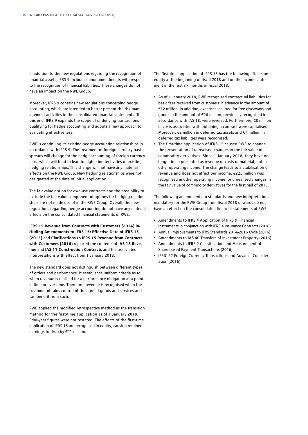In addition to the new regulations regarding the recognition of financial assets, IFRS 9 includes minor amendments with respect to the recognition of financial liabilities. These changes do not have an impact on the RWE Group.

Moreover, IFRS 9 contains new regulations concerning hedge accounting, which are intended to better present the risk management activities in the consolidated financial statements. To this end, IFRS 9 expands the scope of underlying transactions qualifying for hedge accounting and adopts a new approach to evaluating effectiveness.

RWE is continuing its existing hedge accounting relationships in accordance with IFRS 9. The treatment of foreign-currency basis spreads will change for the hedge accounting of foreign-currency risks, which will tend to lead to higher ineffectivities of existing hedging relationships. This change will not have any material effects on the RWE Group. New hedging relationships were not designated at the date of initial application.

The fair value option for own-use contracts and the possibility to exclude the fair value component of options for hedging relationships are not made use of in the RWE Group. Overall, the new regulations regarding hedge accounting do not have any material effects on the consolidated financial statements of RWE.

**IFRS 15 Revenue from Contracts with Customers (2014) including Amendments to IFRS 15: Effective Date of IFRS 15 (2015)** and **Clarifications to IFRS 15 Revenue from Contracts with Customers (2016)** replaced the contents of **IAS 18 Revenue** and **IAS 11 Construction Contracts** and the associated interpretations with effect from 1 January 2018.

The new standard does not distinguish between different types of orders and performance. It establishes uniform criteria as to when revenue is realised for a performance obligation at a point in time or over time. Therefore, revenue is recognised when the customer obtains control of the agreed goods and services and can benefit from such.

RWE applied the modified retrospective method as the transition method for the first-time application as of 1 January 2018. Prior-year figures were not restated. The effects of the first-time application of IFRS 15 are recognised in equity, causing retained earnings to drop by €21 million.

The first-time application of IFRS 15 has the following effects on equity at the beginning of fiscal 2018 and on the income statement in the first six months of fiscal 2018:

- As of 1 January 2018, RWE recognised contractual liabilities for basic fees received from customers in advance in the amount of €12 million. In addition, expenses incurred for free giveaways and goods in the amount of €26 million, previously recognised in accordance with IAS 18, were reversed. Furthermore, €8 million in costs associated with obtaining a contract were capitalised. Moreover, €2 million in deferred tax assets and €7 million in deferred tax liabilities were recognised.
- The first-time application of IFRS 15 caused RWE to change the presentation of unrealised changes in the fair value of commodity derivatives. Since 1 January 2018, they have no longer been presented as revenue or costs of material, but in other operating income. The change leads to a stabilisation of revenue and does not affect our income. €225 million was recognised in other operating income for unrealised changes in the fair value of commodity derivatives for the first half of 2018.

The following amendments to standards and new interpretations mandatory for the RWE Group from fiscal 2018 onwards do not have an effect on the consolidated financial statements of RWE:

- Amendments to IFRS 4 Application of IFRS 9 Financial Instruments in conjunction with IFRS 4 Insurance Contracts (2016)
- Annual Improvements to IFRS Standards 2014–2016 Cycle (2016)
- Amendments to IAS 40 Transfers of Investment Property (2016)
- Amendments to IFRS 2 Classification and Measurement of Share-based Payment Transactions (2016)
- IFRIC 22 Foreign Currency Transactions and Advance Consideration (2016)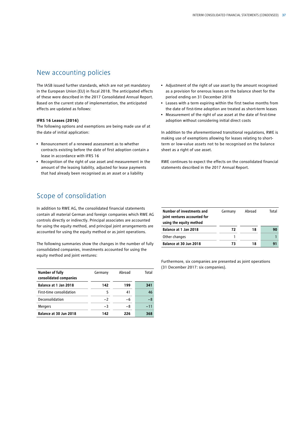# New accounting policies

The IASB issued further standards, which are not yet mandatory in the European Union (EU) in fiscal 2018. The anticipated effects of these were described in the 2017 Consolidated Annual Report. Based on the current state of implementation, the anticipated effects are updated as follows:

#### **IFRS 16 Leases (2016)**

The following options and exemptions are being made use of at the date of initial application:

- Renouncement of a renewed assessment as to whether contracts existing before the date of first adoption contain a lease in accordance with IFRS 16
- Recognition of the right of use asset and measurement in the amount of the leasing liability, adjusted for lease payments that had already been recognised as an asset or a liability
- Adjustment of the right of use asset by the amount recognised as a provision for onerous leases on the balance sheet for the period ending on 31 December 2018
- Leases with a term expiring within the first twelve months from the date of first-time adoption are treated as short-term leases
- Measurement of the right of use asset at the date of first-time adoption without considering initial direct costs

In addition to the aforementioned transitional regulations, RWE is making use of exemptions allowing for leases relating to shortterm or low-value assets not to be recognised on the balance sheet as a right of use asset.

RWE continues to expect the effects on the consolidated financial statements described in the 2017 Annual Report.

# Scope of consolidation

In addition to RWE AG, the consolidated financial statements contain all material German and foreign companies which RWE AG controls directly or indirectly. Principal associates are accounted for using the equity method, and principal joint arrangements are accounted for using the equity method or as joint operations.

The following summaries show the changes in the number of fully consolidated companies, investments accounted for using the equity method and joint ventures:

| Number of fully<br>consolidated companies | Germany | Abroad | Total |
|-------------------------------------------|---------|--------|-------|
| Balance at 1 Jan 2018                     | 142     | 199    | 341   |
| First-time consolidation                  | 5       | 41     | 46    |
| Deconsolidation                           | $-2$    | -6     | $-8$  |
| <b>Mergers</b>                            | $-3$    | -8     | $-11$ |
| Balance at 30 Jun 2018                    | 142     | 226    | 368   |

| Number of investments and<br>joint ventures accounted for<br>using the equity method | Germany | Abroad | Total |
|--------------------------------------------------------------------------------------|---------|--------|-------|
| Balance at 1 Jan 2018                                                                | 72      | 18     | 90    |
| Other changes                                                                        |         |        |       |
| Balance at 30 Jun 2018                                                               | 73      | 18     | 91    |

Furthermore, six companies are presented as joint operations (31 December 2017: six companies).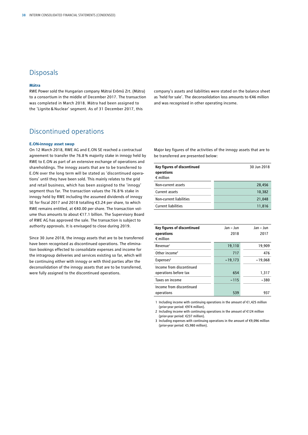# **Disposals**

#### **Mátra**

RWE Power sold the Hungarian company Mátrai Erőmű Zrt. (Mátra) to a consortium in the middle of December 2017. The transaction was completed in March 2018. Mátra had been assigned to the 'Lignite & Nuclear' segment. As of 31 December 2017, this

# Discontinued operations

### **E.ON-innogy asset swap**

On 12 March 2018, RWE AG and E.ON SE reached a contractual agreement to transfer the 76.8% majority stake in innogy held by RWE to E.ON as part of an extensive exchange of operations and shareholdings. The innogy assets that are to be transferred to E.ON over the long term will be stated as 'discontinued operations' until they have been sold. This mainly relates to the grid and retail business, which has been assigned to the 'innogy' segment thus far. The transaction values the 76.8 % stake in innogy held by RWE including the assumed dividends of innogy SE for fiscal 2017 and 2018 totalling €3.24 per share, to which RWE remains entitled, at €40.00 per share. The transaction volume thus amounts to about €17.1 billion. The Supervisory Board of RWE AG has approved the sale. The transaction is subject to authority approvals. It is envisaged to close during 2019.

Since 30 June 2018, the innogy assets that are to be transferred have been recognised as discontinued operations. The elimination bookings effected to consolidate expenses and income for the intragroup deliveries and services existing so far, which will be continuing either with innogy or with third parties after the deconsolidation of the innogy assets that are to be transferred, were fully assigned to the discontinued operations.

company's assets and liabilities were stated on the balance sheet as 'held for sale'. The deconsolidation loss amounts to €46 million and was recognised in other operating income.

Major key figures of the activities of the innogy assets that are to be transferred are presented below:

| Key figures of discontinued<br>operations<br>$\epsilon$ million | 30 Jun 2018 |
|-----------------------------------------------------------------|-------------|
| Non-current assets                                              | 28,456      |
| Current assets                                                  | 10.382      |
| Non-current liabilities                                         | 21.048      |
| <b>Current liabilities</b>                                      | 11,816      |

| Key figures of discontinued<br>operations<br>$\epsilon$ million | Jan - Jun<br>2018 | Jan - Jun<br>2017 |
|-----------------------------------------------------------------|-------------------|-------------------|
| Revenue <sup>1</sup>                                            | 19,110            | 19,909            |
| Other income <sup>2</sup>                                       | 717               | 476               |
| Expenses <sup>3</sup>                                           | $-19,173$         | $-19,068$         |
| Income from discontinued<br>operations before tax               | 654               | 1,317             |
| Taxes on income                                                 | $-115$            | $-380$            |
| Income from discontinued<br>operations                          | 539               | 937               |

1 Including income with continuing operations in the amount of €1,425 million (prior-year period: €974 million).

2 Including income with continuing operations in the amount of €124 million (prior-year period: €237 million).

3 Including expenses with continuing operations in the amount of €9,096 million (prior-year period: €5,980 million).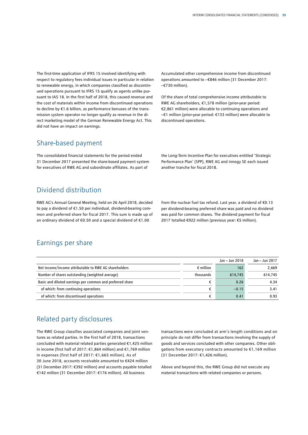The first-time application of IFRS 15 involved identifying with respect to regulatory fees individual issues in particular in relation to renewable energy, in which companies classified as discontinued operations pursuant to IFRS 15 qualify as agents unlike pursuant to IAS 18. In the first half of 2018, this caused revenue and the cost of materials within income from discontinued operations to decline by €1.6 billion, as performance bonuses of the transmission system operator no longer qualify as revenue in the direct marketing model of the German Renewable Energy Act. This did not have an impact on earnings.

Share-based payment

The consolidated financial statements for the period ended 31 December 2017 presented the share-based payment system for executives of RWE AG and subordinate affiliates. As part of

Accumulated other comprehensive income from discontinued operations amounted to –€846 million (31 December 2017: –€730 million).

Of the share of total comprehensive income attributable to RWE AG shareholders, €1,578 million (prior-year period: €2,861 million) were allocable to continuing operations and –€1 million (prior-year period: €133 million) were allocable to discontinued operations.

the Long-Term Incentive Plan for executives entitled 'Strategic Performance Plan' (SPP), RWE AG and innogy SE each issued another tranche for fiscal 2018.

# Dividend distribution

RWE AG's Annual General Meeting, held on 26 April 2018, decided to pay a dividend of €1.50 per individual, dividend-bearing common and preferred share for fiscal 2017. This sum is made up of an ordinary dividend of €0.50 and a special dividend of €1.00

from the nuclear fuel tax refund. Last year, a dividend of €0.13 per dividend-bearing preferred share was paid and no dividend was paid for common shares. The dividend payment for fiscal 2017 totalled €922 million (previous year: €5 million).

# Earnings per share

|                                                           |                    | Jan – Jun 2018 | Jan – Jun 2017 |
|-----------------------------------------------------------|--------------------|----------------|----------------|
| Net income/income attributable to RWE AG shareholders     | $\epsilon$ million | 162            | 2,669          |
| Number of shares outstanding (weighted average)           | thousands          | 614,745        | 614.745        |
| Basic and diluted earnings per common and preferred share |                    | 0.26           | 4.34           |
| of which: from continuing operations                      |                    | $-0.15$        | 3.41           |
| of which: from discontinued operations                    |                    | 0.41           | 0.93           |

# Related party disclosures

The RWE Group classifies associated companies and joint ventures as related parties. In the first half of 2018, transactions concluded with material related parties generated €1,425 million in income (first half of 2017: €1,864 million) and €1,769 million in expenses (first half of 2017: €1,665 million). As of 30 June 2018, accounts receivable amounted to €424 million (31 December 2017: €392 million) and accounts payable totalled €142 million (31 December 2017: €176 million). All business

transactions were concluded at arm's length conditions and on principle do not differ from transactions involving the supply of goods and services concluded with other companies. Other obligations from executory contracts amounted to €1,169 million (31 December 2017: €1,426 million).

Above and beyond this, the RWE Group did not execute any material transactions with related companies or persons.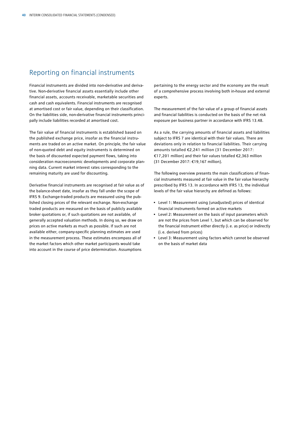# Reporting on financial instruments

Financial instruments are divided into non-derivative and derivative. Non-derivative financial assets essentially include other financial assets, accounts receivable, marketable securities and cash and cash equivalents. Financial instruments are recognised at amortised cost or fair value, depending on their classification. On the liabilities side, non-derivative financial instruments principally include liabilities recorded at amortised cost.

The fair value of financial instruments is established based on the published exchange price, insofar as the financial instruments are traded on an active market. On principle, the fair value of non-quoted debt and equity instruments is determined on the basis of discounted expected payment flows, taking into consideration macroeconomic developments and corporate planning data. Current market interest rates corresponding to the remaining maturity are used for discounting.

Derivative financial instruments are recognised at fair value as of the balance-sheet date, insofar as they fall under the scope of IFRS 9. Exchange-traded products are measured using the published closing prices of the relevant exchange. Non-exchange traded products are measured on the basis of publicly available broker quotations or, if such quotations are not available, of generally accepted valuation methods. In doing so, we draw on prices on active markets as much as possible. If such are not available either, company-specific planning estimates are used in the measurement process. These estimates encompass all of the market factors which other market participants would take into account in the course of price determination. Assumptions

pertaining to the energy sector and the economy are the result of a comprehensive process involving both in-house and external experts.

The measurement of the fair value of a group of financial assets and financial liabilities is conducted on the basis of the net risk exposure per business partner in accordance with IFRS 13.48.

As a rule, the carrying amounts of financial assets and liabilities subject to IFRS 7 are identical with their fair values. There are deviations only in relation to financial liabilities. Their carrying amounts totalled €2,241 million (31 December 2017: €17,201 million) and their fair values totalled €2,363 million (31 December 2017: €19,167 million).

The following overview presents the main classifications of financial instruments measured at fair value in the fair value hierarchy prescribed by IFRS 13. In accordance with IFRS 13, the individual levels of the fair value hierarchy are defined as follows:

- Level 1: Measurement using (unadjusted) prices of identical financial instruments formed on active markets
- Level 2: Measurement on the basis of input parameters which are not the prices from Level 1, but which can be observed for the financial instrument either directly (i.e. as price) or indirectly (i.e. derived from prices)
- Level 3: Measurement using factors which cannot be observed on the basis of market data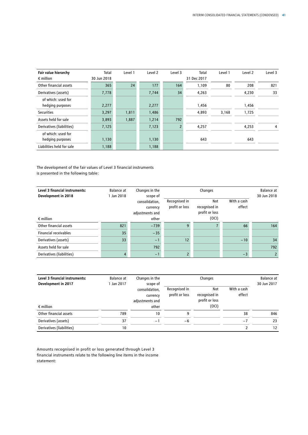| Fair value hierarchy      | Total       | Level 1 | Level 2 | Level 3        | Total       | Level 1 | Level 2 | Level 3 |
|---------------------------|-------------|---------|---------|----------------|-------------|---------|---------|---------|
| $\epsilon$ million        | 30 Jun 2018 |         |         |                | 31 Dec 2017 |         |         |         |
| Other financial assets    | 365         | 24      | 177     | 164            | 1,109       | 80      | 208     | 821     |
| Derivatives (assets)      | 7,778       |         | 7,744   | 34             | 4,263       |         | 4,230   | 33      |
| of which: used for        |             |         |         |                |             |         |         |         |
| hedging purposes          | 2,277       |         | 2,277   |                | 1,456       |         | 1,456   |         |
| <b>Securities</b>         | 3,297       | 1,811   | 1,486   |                | 4,893       | 3,168   | 1,725   |         |
| Assets held for sale      | 3,893       | 1,887   | 1,214   | 792            |             |         |         |         |
| Derivatives (liabilities) | 7,125       |         | 7,123   | $\overline{2}$ | 4,257       |         | 4,253   | 4       |
| of which: used for        |             |         |         |                |             |         |         |         |
| hedging purposes          | 1,130       |         | 1,130   |                | 643         |         | 643     |         |
| Liabilities held for sale | 1,188       |         | 1,188   |                |             |         |         |         |

The development of the fair values of Level 3 financial instruments is presented in the following table:

| Level 3 financial instruments:<br>Development in 2018 | Balance at<br>1 Jan 2018 | Changes in the<br>scope of                    |                                 | Changes                                |                       |                |
|-------------------------------------------------------|--------------------------|-----------------------------------------------|---------------------------------|----------------------------------------|-----------------------|----------------|
|                                                       |                          | consolidation,<br>currency<br>adjustments and | Recognised in<br>profit or loss | Not<br>recognised in<br>profit or loss | With a cash<br>effect |                |
| $\epsilon$ million                                    |                          | other                                         |                                 | (OCI)                                  |                       |                |
| Other financial assets                                | 821                      | $-739$                                        | q                               |                                        | 66                    | 164            |
| <b>Financial receivables</b>                          | 35                       | $-35$                                         |                                 |                                        |                       |                |
| Derivatives (assets)                                  | 33                       | $-1$                                          | 12                              |                                        | $-10$                 | 34             |
| Assets held for sale                                  |                          | 792                                           |                                 |                                        |                       | 792            |
| Derivatives (liabilities)                             | 4                        | $-1$                                          |                                 |                                        | $-3$                  | $\overline{2}$ |

| Level 3 financial instruments: | Balance at<br>1 Jan 2017 | Changes in the<br>scope of                    |                                 | Changes                                |                       | Balance at<br>30 Jun 2017 |
|--------------------------------|--------------------------|-----------------------------------------------|---------------------------------|----------------------------------------|-----------------------|---------------------------|
| Development in 2017            |                          | consolidation,<br>currency<br>adjustments and | Recognised in<br>profit or loss | Not<br>recognised in<br>profit or loss | With a cash<br>effect |                           |
| $\epsilon$ million             |                          | other                                         |                                 | (OCI)                                  |                       |                           |
| Other financial assets         | 789                      | 10                                            | 9                               |                                        | 38                    | 846                       |
| Derivatives (assets)           | 37                       | $-1$                                          | -6                              |                                        | $-7$                  | 23                        |
| Derivatives (liabilities)      | 10                       |                                               |                                 |                                        |                       | 12                        |

Amounts recognised in profit or loss generated through Level 3 financial instruments relate to the following line items in the income statement: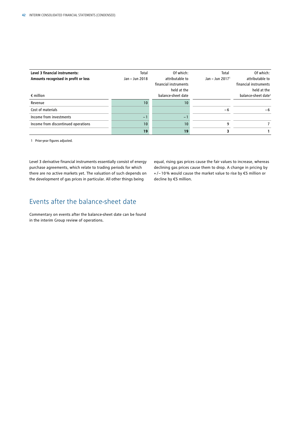| Level 3 financial instruments:       | Total          | Of which:             | Total              | Of which:                       |
|--------------------------------------|----------------|-----------------------|--------------------|---------------------------------|
| Amounts recognised in profit or loss | Jan - Jun 2018 | attributable to       | Jan - Jun 2017 $1$ | attributable to                 |
|                                      |                | financial instruments |                    | financial instruments           |
|                                      |                | held at the           |                    | held at the                     |
| $\epsilon$ million                   |                | balance-sheet date    |                    | balance-sheet date <sup>1</sup> |
| Revenue                              | 10             | 10                    |                    |                                 |
| Cost of materials                    |                |                       | -6                 | -6                              |
| Income from investments              | $-1$           | $-1$                  |                    |                                 |
| Income from discontinued operations  | 10             | 10                    | q                  |                                 |
|                                      | 19             | 19                    |                    |                                 |

1 Prior-year figures adjusted.

Level 3 derivative financial instruments essentially consist of energy purchase agreements, which relate to trading periods for which there are no active markets yet. The valuation of such depends on the development of gas prices in particular. All other things being

equal, rising gas prices cause the fair values to increase, whereas declining gas prices cause them to drop. A change in pricing by + /− 10% would cause the market value to rise by €5 million or decline by €5 million.

# Events after the balance-sheet date

Commentary on events after the balance-sheet date can be found in the interim Group review of operations.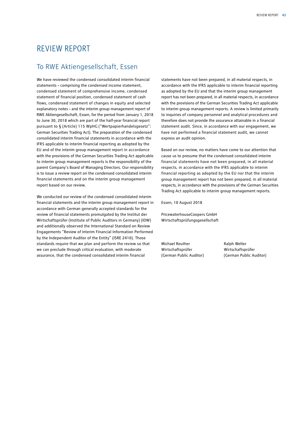# REVIEW REPORT

# To RWE Aktiengesellschaft, Essen

We have reviewed the condensed consolidated interim financial statements – comprising the condensed income statement, condensed statement of comprehensive income, condensed statement of financial position, condensed statement of cash flows, condensed statement of changes in equity and selected explanatory notes – and the interim group management report of RWE Aktiengesellschaft, Essen, for the period from January 1, 2018 to June 30, 2018 which are part of the half-year financial report pursuant to § (Article) 115 WpHG ("Wertpapierhandelsgesetz": German Securities Trading Act). The preparation of the condensed consolidated interim financial statements in accordance with the IFRS applicable to interim financial reporting as adopted by the EU and of the interim group management report in accordance with the provisions of the German Securities Trading Act applicable to interim group management reports is the responsibility of the parent Company's Board of Managing Directors. Our responsibility is to issue a review report on the condensed consolidated interim financial statements and on the interim group management report based on our review.

We conducted our review of the condensed consolidated interim financial statements and the interim group management report in accordance with German generally accepted standards for the review of financial statements promulgated by the Institut der Wirtschaftsprüfer (Institute of Public Auditors in Germany) (IDW) and additionally observed the International Standard on Review Engagements "Review of Interim Financial Information Performed by the Independent Auditor of the Entity" (ISRE 2410). Those standards require that we plan and perform the review so that we can preclude through critical evaluation, with moderate assurance, that the condensed consolidated interim financial

statements have not been prepared, in all material respects, in accordance with the IFRS applicable to interim financial reporting as adopted by the EU and that the interim group management report has not been prepared, in all material respects, in accordance with the provisions of the German Securities Trading Act applicable to interim group management reports. A review is limited primarily to inquiries of company personnel and analytical procedures and therefore does not provide the assurance attainable in a financial statement audit. Since, in accordance with our engagement, we have not performed a financial statement audit, we cannot express an audit opinion.

Based on our review, no matters have come to our attention that cause us to presume that the condensed consolidated interim financial statements have not been prepared, in all material respects, in accordance with the IFRS applicable to interim financial reporting as adopted by the EU nor that the interim group management report has not been prepared, in all material respects, in accordance with the provisions of the German Securities Trading Act applicable to interim group management reports.

Essen, 10 August 2018

PricewaterhouseCoopers GmbH Wirtschaftsprüfungsgesellschaft

Michael Reuther **Ralph Welter** Wirtschaftsprüfer Wirtschaftsprüfer

(German Public Auditor) (German Public Auditor)